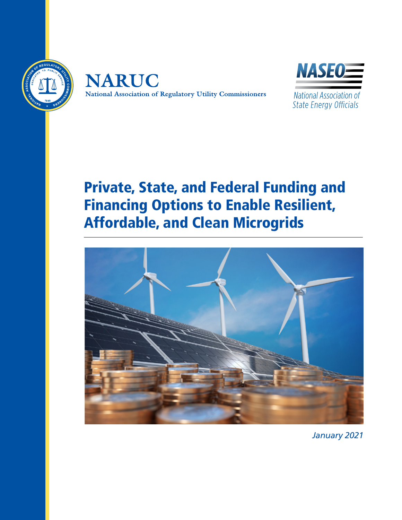





National Association of **State Energy Officials** 

# Private, State, and Federal Funding and Financing Options to Enable Resilient, Affordable, and Clean Microgrids



*January 2021*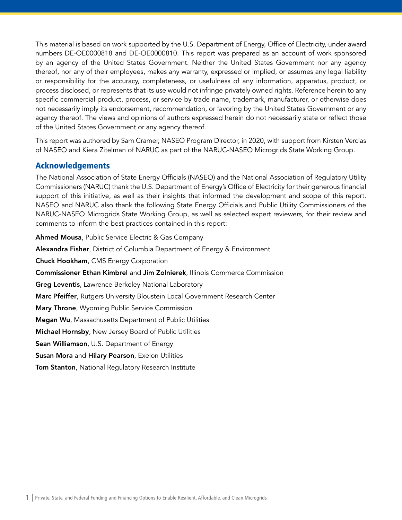This material is based on work supported by the U.S. Department of Energy, Office of Electricity, under award numbers DE-OE0000818 and DE-OE0000810. This report was prepared as an account of work sponsored by an agency of the United States Government. Neither the United States Government nor any agency thereof, nor any of their employees, makes any warranty, expressed or implied, or assumes any legal liability or responsibility for the accuracy, completeness, or usefulness of any information, apparatus, product, or process disclosed, or represents that its use would not infringe privately owned rights. Reference herein to any specific commercial product, process, or service by trade name, trademark, manufacturer, or otherwise does not necessarily imply its endorsement, recommendation, or favoring by the United States Government or any agency thereof. The views and opinions of authors expressed herein do not necessarily state or reflect those of the United States Government or any agency thereof.

This report was authored by Sam Cramer, NASEO Program Director, in 2020, with support from Kirsten Verclas of NASEO and Kiera Zitelman of NARUC as part of the NARUC-NASEO Microgrids State Working Group.

# Acknowledgements

The National Association of State Energy Officials (NASEO) and the National Association of Regulatory Utility Commissioners (NARUC) thank the U.S. Department of Energy's Office of Electricity for their generous financial support of this initiative, as well as their insights that informed the development and scope of this report. NASEO and NARUC also thank the following State Energy Officials and Public Utility Commissioners of the NARUC-NASEO Microgrids State Working Group, as well as selected expert reviewers, for their review and comments to inform the best practices contained in this report:

Ahmed Mousa, Public Service Electric & Gas Company Alexandra Fisher, District of Columbia Department of Energy & Environment Chuck Hookham, CMS Energy Corporation Commissioner Ethan Kimbrel and Jim Zolnierek, Illinois Commerce Commission Greg Leventis, Lawrence Berkeley National Laboratory Marc Pfeiffer, Rutgers University Bloustein Local Government Research Center Mary Throne, Wyoming Public Service Commission Megan Wu, Massachusetts Department of Public Utilities Michael Hornsby, New Jersey Board of Public Utilities Sean Williamson, U.S. Department of Energy Susan Mora and Hilary Pearson, Exelon Utilities **Tom Stanton, National Regulatory Research Institute**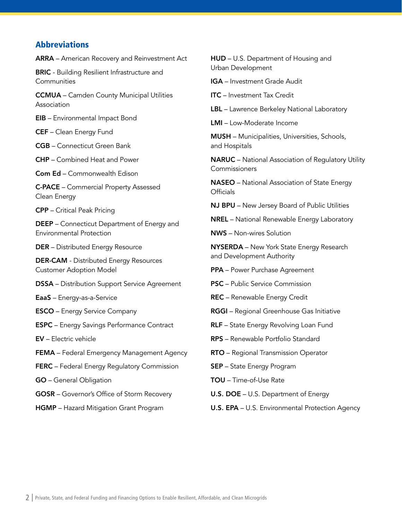# <span id="page-2-0"></span>Abbreviations

ARRA – American Recovery and Reinvestment Act

**BRIC** - Building Resilient Infrastructure and **Communities** 

CCMUA – Camden County Municipal Utilities Association

EIB – Environmental Impact Bond

CEF – Clean Energy Fund

CGB – Connecticut Green Bank

CHP – Combined Heat and Power

Com Ed – Commonwealth Edison

C-PACE – Commercial Property Assessed Clean Energy

CPP – Critical Peak Pricing

DEEP – Connecticut Department of Energy and Environmental Protection

DER – Distributed Energy Resource

DER-CAM - Distributed Energy Resources Customer Adoption Model

DSSA – Distribution Support Service Agreement

EaaS – Energy-as-a-Service

ESCO – Energy Service Company

ESPC – Energy Savings Performance Contract

EV – Electric vehicle

FEMA – Federal Emergency Management Agency

FERC – Federal Energy Regulatory Commission

GO – General Obligation

GOSR – Governor's Office of Storm Recovery

HGMP – Hazard Mitigation Grant Program

HUD – U.S. Department of Housing and Urban Development

IGA – Investment Grade Audit

ITC – Investment Tax Credit

LBL – Lawrence Berkeley National Laboratory

LMI – Low-Moderate Income

MUSH – Municipalities, Universities, Schools, and Hospitals

NARUC – National Association of Regulatory Utility Commissioners

NASEO – National Association of State Energy **Officials** 

NJ BPU – New Jersey Board of Public Utilities

NREL – National Renewable Energy Laboratory

NWS – Non-wires Solution

NYSERDA – New York State Energy Research and Development Authority

PPA – Power Purchase Agreement

PSC – Public Service Commission

REC – Renewable Energy Credit

RGGI – Regional Greenhouse Gas Initiative

RLF - State Energy Revolving Loan Fund

RPS – Renewable Portfolio Standard

RTO – Regional Transmission Operator

SEP – State Energy Program

TOU – Time-of-Use Rate

U.S. DOE – U.S. Department of Energy

U.S. EPA – U.S. Environmental Protection Agency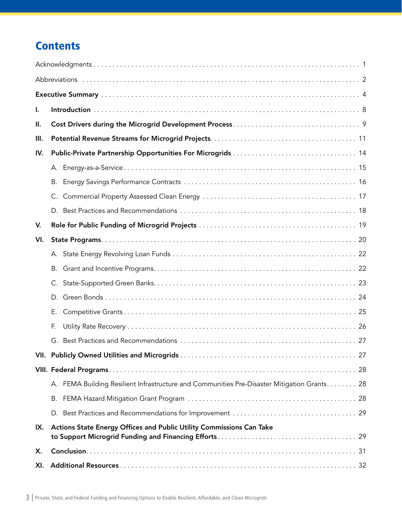# **Contents**

| Ι.   |                                                                                             |  |  |  |  |
|------|---------------------------------------------------------------------------------------------|--|--|--|--|
| II.  |                                                                                             |  |  |  |  |
| III. |                                                                                             |  |  |  |  |
| IV.  |                                                                                             |  |  |  |  |
|      |                                                                                             |  |  |  |  |
|      | В.                                                                                          |  |  |  |  |
|      |                                                                                             |  |  |  |  |
|      |                                                                                             |  |  |  |  |
| V.   |                                                                                             |  |  |  |  |
| VI.  |                                                                                             |  |  |  |  |
|      |                                                                                             |  |  |  |  |
|      | В.                                                                                          |  |  |  |  |
|      | C.                                                                                          |  |  |  |  |
|      |                                                                                             |  |  |  |  |
|      | Е.                                                                                          |  |  |  |  |
|      | F.                                                                                          |  |  |  |  |
|      |                                                                                             |  |  |  |  |
|      |                                                                                             |  |  |  |  |
|      |                                                                                             |  |  |  |  |
|      | A. FEMA Building Resilient Infrastructure and Communities Pre-Disaster Mitigation Grants 28 |  |  |  |  |
|      | В.                                                                                          |  |  |  |  |
|      |                                                                                             |  |  |  |  |
| IX.  | Actions State Energy Offices and Public Utility Commissions Can Take                        |  |  |  |  |
| Х.   |                                                                                             |  |  |  |  |
| XI.  |                                                                                             |  |  |  |  |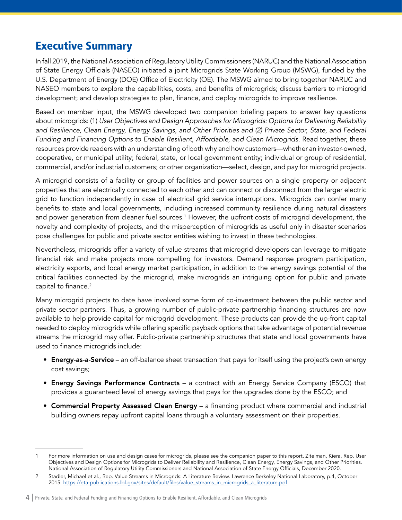# <span id="page-4-0"></span>Executive Summary

In fall 2019, the National Association of Regulatory Utility Commissioners (NARUC) and the National Association of State Energy Officials (NASEO) initiated a joint Microgrids State Working Group (MSWG), funded by the U.S. Department of Energy (DOE) Office of Electricity (OE). The MSWG aimed to bring together NARUC and NASEO members to explore the capabilities, costs, and benefits of microgrids; discuss barriers to microgrid development; and develop strategies to plan, finance, and deploy microgrids to improve resilience.

Based on member input, the MSWG developed two companion briefing papers to answer key questions about microgrids: (1) *User Objectives and Design Approaches for Microgrids: Options for Delivering Reliability and Resilience, Clean Energy, Energy Savings, and Other Priorities and (2) Private Sector, State, and Federal Funding and Financing Options to Enable Resilient, Affordable, and Clean Microgrids*. Read together, these resources provide readers with an understanding of both why and how customers—whether an investor-owned, cooperative, or municipal utility; federal, state, or local government entity; individual or group of residential, commercial, and/or industrial customers; or other organization—select, design, and pay for microgrid projects.

A microgrid consists of a facility or group of facilities and power sources on a single property or adjacent properties that are electrically connected to each other and can connect or disconnect from the larger electric grid to function independently in case of electrical grid service interruptions. Microgrids can confer many benefits to state and local governments, including increased community resilience during natural disasters and power generation from cleaner fuel sources.<sup>1</sup> However, the upfront costs of microgrid development, the novelty and complexity of projects, and the misperception of microgrids as useful only in disaster scenarios pose challenges for public and private sector entities wishing to invest in these technologies.

Nevertheless, microgrids offer a variety of value streams that microgrid developers can leverage to mitigate financial risk and make projects more compelling for investors. Demand response program participation, electricity exports, and local energy market participation, in addition to the energy savings potential of the critical facilities connected by the microgrid, make microgrids an intriguing option for public and private capital to finance.<sup>2</sup>

Many microgrid projects to date have involved some form of co-investment between the public sector and private sector partners. Thus, a growing number of public-private partnership financing structures are now available to help provide capital for microgrid development. These products can provide the up-front capital needed to deploy microgrids while offering specific payback options that take advantage of potential revenue streams the microgrid may offer. Public-private partnership structures that state and local governments have used to finance microgrids include:

- Energy-as-a-Service an off-balance sheet transaction that pays for itself using the project's own energy cost savings;
- Energy Savings Performance Contracts a contract with an Energy Service Company (ESCO) that provides a guaranteed level of energy savings that pays for the upgrades done by the ESCO; and
- Commercial Property Assessed Clean Energy a financing product where commercial and industrial building owners repay upfront capital loans through a voluntary assessment on their properties.

For more information on use and design cases for microgrids, please see the companion paper to this report, Zitelman, Kiera, Rep. User Objectives and Design Options for Microgrids to Deliver Reliability and Resilience, Clean Energy, Energy Savings, and Other Priorities. National Association of Regulatory Utility Commissioners and National Association of State Energy Officials, December 2020.

<sup>2</sup> Stadler, Michael et al., Rep. Value Streams in Microgrids: A Literature Review. Lawrence Berkeley National Laboratory, p.4, October 2015. [https://eta-publications.lbl.gov/sites/default/files/value\\_streams\\_in\\_microgrids\\_a\\_literature.pdf](https://eta-publications.lbl.gov/sites/default/files/value_streams_in_microgrids_a_literature.pdf)

<sup>4</sup> | Private, State, and Federal Funding and Financing Options to Enable Resilient, Affordable, and Clean Microgrids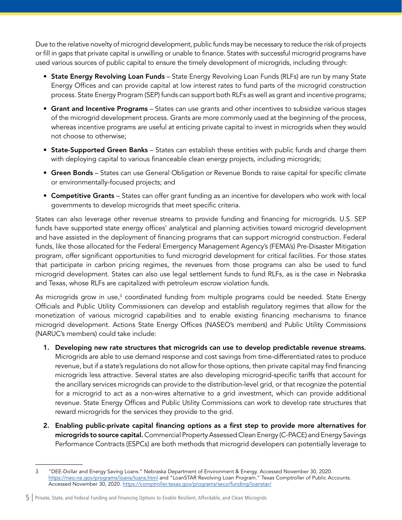Due to the relative novelty of microgrid development, public funds may be necessary to reduce the risk of projects or fill in gaps that private capital is unwilling or unable to finance. States with successful microgrid programs have used various sources of public capital to ensure the timely development of microgrids, including through:

- State Energy Revolving Loan Funds State Energy Revolving Loan Funds (RLFs) are run by many State Energy Offices and can provide capital at low interest rates to fund parts of the microgrid construction process. State Energy Program (SEP) funds can support both RLFs as well as grant and incentive programs;
- Grant and Incentive Programs States can use grants and other incentives to subsidize various stages of the microgrid development process. Grants are more commonly used at the beginning of the process, whereas incentive programs are useful at enticing private capital to invest in microgrids when they would not choose to otherwise;
- State-Supported Green Banks States can establish these entities with public funds and charge them with deploying capital to various financeable clean energy projects, including microgrids;
- Green Bonds States can use General Obligation or Revenue Bonds to raise capital for specific climate or environmentally-focused projects; and
- Competitive Grants States can offer grant funding as an incentive for developers who work with local governments to develop microgrids that meet specific criteria.

States can also leverage other revenue streams to provide funding and financing for microgrids. U.S. SEP funds have supported state energy offices' analytical and planning activities toward microgrid development and have assisted in the deployment of financing programs that can support microgrid construction. Federal funds, like those allocated for the Federal Emergency Management Agency's (FEMA's) Pre-Disaster Mitigation program, offer significant opportunities to fund microgrid development for critical facilities. For those states that participate in carbon pricing regimes, the revenues from those programs can also be used to fund microgrid development. States can also use legal settlement funds to fund RLFs, as is the case in Nebraska and Texas, whose RLFs are capitalized with petroleum escrow violation funds.

As microgrids grow in use, $^3$  coordinated funding from multiple programs could be needed. State Energy Officials and Public Utility Commissioners can develop and establish regulatory regimes that allow for the monetization of various microgrid capabilities and to enable existing financing mechanisms to finance microgrid development. Actions State Energy Offices (NASEO's members) and Public Utility Commissions (NARUC's members) could take include:

- 1. Developing new rate structures that microgrids can use to develop predictable revenue streams. Microgrids are able to use demand response and cost savings from time-differentiated rates to produce revenue, but if a state's regulations do not allow for those options, then private capital may find financing microgrids less attractive. Several states are also developing microgrid-specific tariffs that account for the ancillary services microgrids can provide to the distribution-level grid, or that recognize the potential for a microgrid to act as a non-wires alternative to a grid investment, which can provide additional revenue. State Energy Offices and Public Utility Commissions can work to develop rate structures that reward microgrids for the services they provide to the grid.
- 2. Enabling public-private capital financing options as a first step to provide more alternatives for microgrids to source capital. Commercial Property Assessed Clean Energy (C-PACE) and Energy Savings Performance Contracts (ESPCs) are both methods that microgrid developers can potentially leverage to

5 | Private, State, and Federal Funding and Financing Options to Enable Resilient, Affordable, and Clean Microgrids

<sup>3</sup> "DEE-Dollar and Energy Saving Loans." Nebraska Department of Environment & Energy. Accessed November 30, 2020. <https://neo.ne.gov/programs/loans/loans.html>and "LoanSTAR Revolving Loan Program." Texas Comptroller of Public Accounts. Accessed November 30, 2020. <https://comptroller.texas.gov/programs/seco/funding/loanstar/>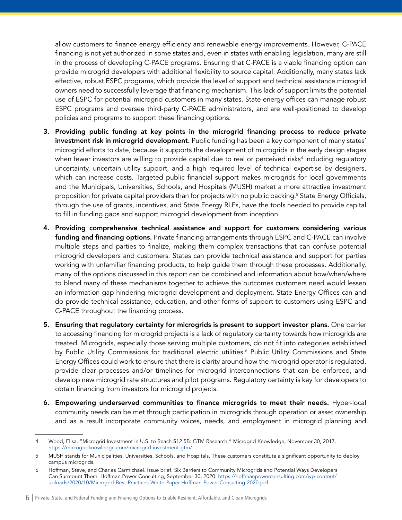allow customers to finance energy efficiency and renewable energy improvements. However, C-PACE financing is not yet authorized in some states and, even in states with enabling legislation, many are still in the process of developing C-PACE programs. Ensuring that C-PACE is a viable financing option can provide microgrid developers with additional flexibility to source capital. Additionally, many states lack effective, robust ESPC programs, which provide the level of support and technical assistance microgrid owners need to successfully leverage that financing mechanism. This lack of support limits the potential use of ESPC for potential microgrid customers in many states. State energy offices can manage robust ESPC programs and oversee third-party C-PACE administrators, and are well-positioned to develop policies and programs to support these financing options.

- 3. Providing public funding at key points in the microgrid financing process to reduce private investment risk in microgrid development. Public funding has been a key component of many states' microgrid efforts to date, because it supports the development of microgrids in the early design stages when fewer investors are willing to provide capital due to real or perceived risks $^4$  including regulatory uncertainty, uncertain utility support, and a high required level of technical expertise by designers, which can increase costs. Targeted public financial support makes microgrids for local governments and the Municipals, Universities, Schools, and Hospitals (MUSH) market a more attractive investment proposition for private capital providers than for projects with no public backing.5 State Energy Officials, through the use of grants, incentives, and State Energy RLFs, have the tools needed to provide capital to fill in funding gaps and support microgrid development from inception.
- 4. Providing comprehensive technical assistance and support for customers considering various funding and financing options. Private financing arrangements through ESPC and C-PACE can involve multiple steps and parties to finalize, making them complex transactions that can confuse potential microgrid developers and customers. States can provide technical assistance and support for parties working with unfamiliar financing products, to help guide them through these processes. Additionally, many of the options discussed in this report can be combined and information about how/when/where to blend many of these mechanisms together to achieve the outcomes customers need would lessen an information gap hindering microgrid development and deployment. State Energy Offices can and do provide technical assistance, education, and other forms of support to customers using ESPC and C-PACE throughout the financing process.
- 5. Ensuring that regulatory certainty for microgrids is present to support investor plans. One barrier to accessing financing for microgrid projects is a lack of regulatory certainty towards how microgrids are treated. Microgrids, especially those serving multiple customers, do not fit into categories established by Public Utility Commissions for traditional electric utilities.<sup>6</sup> Public Utility Commissions and State Energy Offices could work to ensure that there is clarity around how the microgrid operator is regulated, provide clear processes and/or timelines for microgrid interconnections that can be enforced, and develop new microgrid rate structures and pilot programs. Regulatory certainty is key for developers to obtain financing from investors for microgrid projects.
- 6. Empowering underserved communities to finance microgrids to meet their needs. Hyper-local community needs can be met through participation in microgrids through operation or asset ownership and as a result incorporate community voices, needs, and employment in microgrid planning and

<sup>4</sup> Wood, Elisa. "Microgrid Investment in U.S. to Reach \$12.5B: GTM Research." Microgrid Knowledge, November 30, 2017. <https://microgridknowledge.com/microgrid-investment-gtm/>

<sup>5</sup> MUSH stands for Municipalities, Universities, Schools, and Hospitals. These customers constitute a significant opportunity to deploy campus microgrids.

<sup>6</sup> Hoffman, Steve, and Charles Carmichael. Issue brief. Six Barriers to Community Microgrids and Potential Ways Developers Can Surmount Them. Hoffman Power Consulting, September 30, 2020. [https://hoffmanpowerconsulting.com/wp-content/](https://hoffmanpowerconsulting.com/wp-content/uploads/2020/10/Microgrid-Best-Practices-White-Paper-Hoffman-Power-Consulting-2020.pdf) [uploads/2020/10/Microgrid-Best-Practices-White-Paper-Hoffman-Power-Consulting-2020.pdf](https://hoffmanpowerconsulting.com/wp-content/uploads/2020/10/Microgrid-Best-Practices-White-Paper-Hoffman-Power-Consulting-2020.pdf)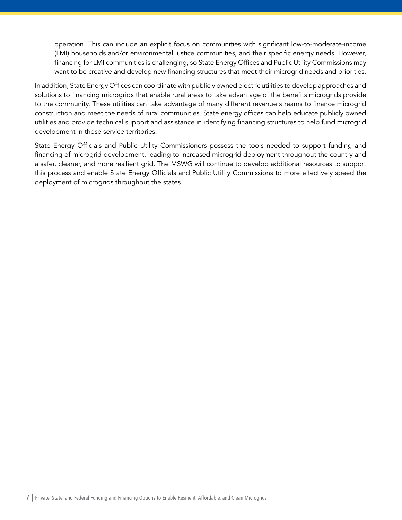operation. This can include an explicit focus on communities with significant low-to-moderate-income (LMI) households and/or environmental justice communities, and their specific energy needs. However, financing for LMI communities is challenging, so State Energy Offices and Public Utility Commissions may want to be creative and develop new financing structures that meet their microgrid needs and priorities.

In addition, State Energy Offices can coordinate with publicly owned electric utilities to develop approaches and solutions to financing microgrids that enable rural areas to take advantage of the benefits microgrids provide to the community. These utilities can take advantage of many different revenue streams to finance microgrid construction and meet the needs of rural communities. State energy offices can help educate publicly owned utilities and provide technical support and assistance in identifying financing structures to help fund microgrid development in those service territories.

State Energy Officials and Public Utility Commissioners possess the tools needed to support funding and financing of microgrid development, leading to increased microgrid deployment throughout the country and a safer, cleaner, and more resilient grid. The MSWG will continue to develop additional resources to support this process and enable State Energy Officials and Public Utility Commissions to more effectively speed the deployment of microgrids throughout the states.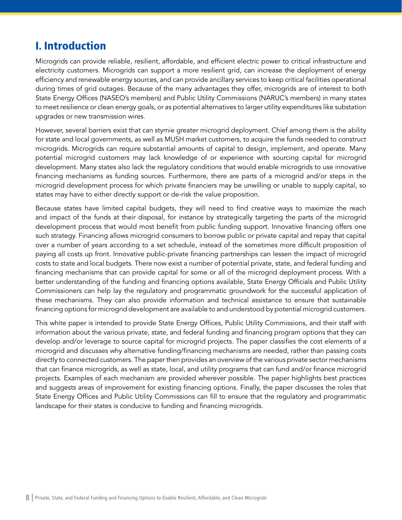# <span id="page-8-0"></span>I. Introduction

Microgrids can provide reliable, resilient, affordable, and efficient electric power to critical infrastructure and electricity customers. Microgrids can support a more resilient grid, can increase the deployment of energy efficiency and renewable energy sources, and can provide ancillary services to keep critical facilities operational during times of grid outages. Because of the many advantages they offer, microgrids are of interest to both State Energy Offices (NASEO's members) and Public Utility Commissions (NARUC's members) in many states to meet resilience or clean energy goals, or as potential alternatives to larger utility expenditures like substation upgrades or new transmission wires.

However, several barriers exist that can stymie greater microgrid deployment. Chief among them is the ability for state and local governments, as well as MUSH market customers, to acquire the funds needed to construct microgrids. Microgrids can require substantial amounts of capital to design, implement, and operate. Many potential microgrid customers may lack knowledge of or experience with sourcing capital for microgrid development. Many states also lack the regulatory conditions that would enable microgrids to use innovative financing mechanisms as funding sources. Furthermore, there are parts of a microgrid and/or steps in the microgrid development process for which private financiers may be unwilling or unable to supply capital, so states may have to either directly support or de-risk the value proposition.

Because states have limited capital budgets, they will need to find creative ways to maximize the reach and impact of the funds at their disposal, for instance by strategically targeting the parts of the microgrid development process that would most benefit from public funding support. Innovative financing offers one such strategy. Financing allows microgrid consumers to borrow public or private capital and repay that capital over a number of years according to a set schedule, instead of the sometimes more difficult proposition of paying all costs up front. Innovative public-private financing partnerships can lessen the impact of microgrid costs to state and local budgets. There now exist a number of potential private, state, and federal funding and financing mechanisms that can provide capital for some or all of the microgrid deployment process. With a better understanding of the funding and financing options available, State Energy Officials and Public Utility Commissioners can help lay the regulatory and programmatic groundwork for the successful application of these mechanisms. They can also provide information and technical assistance to ensure that sustainable financing options for microgrid development are available to and understood by potential microgrid customers.

This white paper is intended to provide State Energy Offices, Public Utility Commissions, and their staff with information about the various private, state, and federal funding and financing program options that they can develop and/or leverage to source capital for microgrid projects. The paper classifies the cost elements of a microgrid and discusses why alternative funding/financing mechanisms are needed, rather than passing costs directly to connected customers. The paper then provides an overview of the various private sector mechanisms that can finance microgrids, as well as state, local, and utility programs that can fund and/or finance microgrid projects. Examples of each mechanism are provided wherever possible. The paper highlights best practices and suggests areas of improvement for existing financing options. Finally, the paper discusses the roles that State Energy Offices and Public Utility Commissions can fill to ensure that the regulatory and programmatic landscape for their states is conducive to funding and financing microgrids.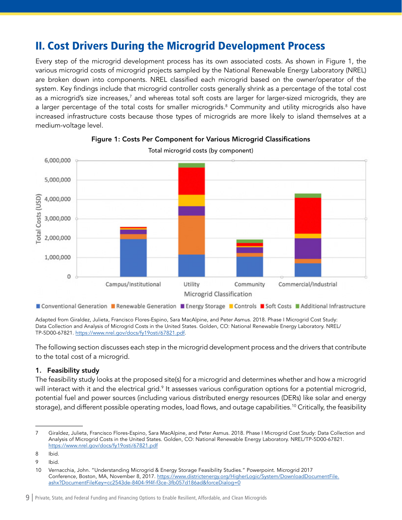# <span id="page-9-0"></span>II. Cost Drivers During the Microgrid Development Process

Every step of the microgrid development process has its own associated costs. As shown in Figure 1, the various microgrid costs of microgrid projects sampled by the National Renewable Energy Laboratory (NREL) are broken down into components. NREL classified each microgrid based on the owner/operator of the system. Key findings include that microgrid controller costs generally shrink as a percentage of the total cost as a microgrid's size increases, $^7$  and whereas total soft costs are larger for larger-sized microgrids, they are a larger percentage of the total costs for smaller microgrids.<sup>8</sup> Community and utility microgrids also have increased infrastructure costs because those types of microgrids are more likely to island themselves at a medium-voltage level.



# Figure 1: Costs Per Component for Various Microgrid Classifications

Total microgrid costs (by component)

Conventional Generation **Renewable Generation Renergy Storage Renerols Renergy Storts Renergy** School Additional Infrastructure

Adapted from Giraldez, Julieta, Francisco Flores-Espino, Sara MacAlpine, and Peter Asmus. 2018. Phase I Microgrid Cost Study: Data Collection and Analysis of Microgrid Costs in the United States. Golden, CO: National Renewable Energy Laboratory. NREL/ TP-5D00-67821.<https://www.nrel.gov/docs/fy19osti/67821.pdf>.

The following section discusses each step in the microgrid development process and the drivers that contribute to the total cost of a microgrid.

### 1. Feasibility study

The feasibility study looks at the proposed site(s) for a microgrid and determines whether and how a microgrid will interact with it and the electrical grid. $^9$  It assesses various configuration options for a potential microgrid, potential fuel and power sources (including various distributed energy resources (DERs) like solar and energy storage), and different possible operating modes, load flows, and outage capabilities.10 Critically, the feasibility

<sup>7</sup> Giraldez, Julieta, Francisco Flores-Espino, Sara MacAlpine, and Peter Asmus. 2018. Phase I Microgrid Cost Study: Data Collection and Analysis of Microgrid Costs in the United States. Golden, CO: National Renewable Energy Laboratory. NREL/TP-5D00-67821. <https://www.nrel.gov/docs/fy19osti/67821.pdf>

<sup>8</sup> Ibid.

<sup>9</sup> Ibid.

<sup>10</sup> Vernacchia, John. "Understanding Microgrid & Energy Storage Feasibility Studies." Powerpoint. Microgrid 2017 Conference, Boston, MA, November 8, 2017. [https://www.districtenergy.org/HigherLogic/System/DownloadDocumentFile.](https://www.districtenergy.org/HigherLogic/System/DownloadDocumentFile.ashx?DocumentFileKey=cc2543de-8404-9f4f-f3ce-3fb057d186ad&forceDialog=0) [ashx?DocumentFileKey=cc2543de-8404-9f4f-f3ce-3fb057d186ad&forceDialog=0](https://www.districtenergy.org/HigherLogic/System/DownloadDocumentFile.ashx?DocumentFileKey=cc2543de-8404-9f4f-f3ce-3fb057d186ad&forceDialog=0)

<sup>9</sup> | Private, State, and Federal Funding and Financing Options to Enable Resilient, Affordable, and Clean Microgrids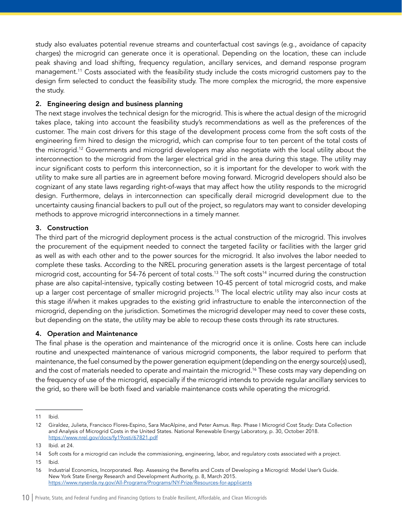study also evaluates potential revenue streams and counterfactual cost savings (e.g., avoidance of capacity charges) the microgrid can generate once it is operational. Depending on the location, these can include peak shaving and load shifting, frequency regulation, ancillary services, and demand response program management.11 Costs associated with the feasibility study include the costs microgrid customers pay to the design firm selected to conduct the feasibility study. The more complex the microgrid, the more expensive the study.

#### 2. Engineering design and business planning

The next stage involves the technical design for the microgrid. This is where the actual design of the microgrid takes place, taking into account the feasibility study's recommendations as well as the preferences of the customer. The main cost drivers for this stage of the development process come from the soft costs of the engineering firm hired to design the microgrid, which can comprise four to ten percent of the total costs of the microgrid.12 Governments and microgrid developers may also negotiate with the local utility about the interconnection to the microgrid from the larger electrical grid in the area during this stage. The utility may incur significant costs to perform this interconnection, so it is important for the developer to work with the utility to make sure all parties are in agreement before moving forward. Microgrid developers should also be cognizant of any state laws regarding right-of-ways that may affect how the utility responds to the microgrid design. Furthermore, delays in interconnection can specifically derail microgrid development due to the uncertainty causing financial backers to pull out of the project, so regulators may want to consider developing methods to approve microgrid interconnections in a timely manner.

#### 3. Construction

The third part of the microgrid deployment process is the actual construction of the microgrid. This involves the procurement of the equipment needed to connect the targeted facility or facilities with the larger grid as well as with each other and to the power sources for the microgrid. It also involves the labor needed to complete these tasks. According to the NREL procuring generation assets is the largest percentage of total microgrid cost, accounting for 54-76 percent of total costs.<sup>13</sup> The soft costs<sup>14</sup> incurred during the construction phase are also capital-intensive, typically costing between 10-45 percent of total microgrid costs, and make up a larger cost percentage of smaller microgrid projects.<sup>15</sup> The local electric utility may also incur costs at this stage if/when it makes upgrades to the existing grid infrastructure to enable the interconnection of the microgrid, depending on the jurisdiction. Sometimes the microgrid developer may need to cover these costs, but depending on the state, the utility may be able to recoup these costs through its rate structures.

### 4. Operation and Maintenance

The final phase is the operation and maintenance of the microgrid once it is online. Costs here can include routine and unexpected maintenance of various microgrid components, the labor required to perform that maintenance, the fuel consumed by the power generation equipment (depending on the energy source(s) used), and the cost of materials needed to operate and maintain the microgrid.<sup>16</sup> These costs may vary depending on the frequency of use of the microgrid, especially if the microgrid intends to provide regular ancillary services to the grid, so there will be both fixed and variable maintenance costs while operating the microgrid.

<sup>11</sup> Ibid.

<sup>12</sup> Giraldez, Julieta, Francisco Flores-Espino, Sara MacAlpine, and Peter Asmus. Rep. Phase I Microgrid Cost Study: Data Collection and Analysis of Microgrid Costs in the United States. National Renewable Energy Laboratory, p. 30, October 2018. <https://www.nrel.gov/docs/fy19osti/67821.pdf>

<sup>13</sup> Ibid. at 24.

<sup>14</sup> Soft costs for a microgrid can include the commissioning, engineering, labor, and regulatory costs associated with a project.

<sup>15</sup> Ibid.

<sup>16</sup> Industrial Economics, Incorporated. Rep. Assessing the Benefits and Costs of Developing a Microgrid: Model User's Guide. New York State Energy Research and Development Authority, p. 8, March 2015. <https://www.nyserda.ny.gov/All-Programs/Programs/NY-Prize/Resources-for-applicants>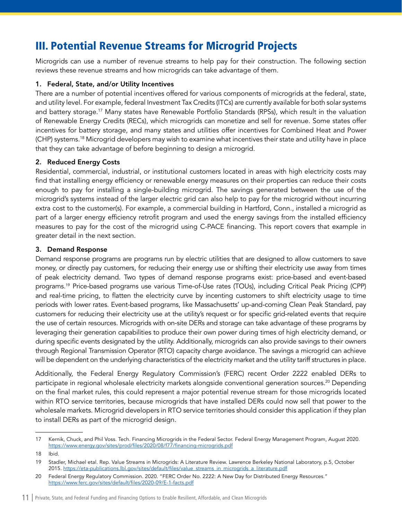# <span id="page-11-0"></span>III. Potential Revenue Streams for Microgrid Projects

Microgrids can use a number of revenue streams to help pay for their construction. The following section reviews these revenue streams and how microgrids can take advantage of them.

### 1. Federal, State, and/or Utility Incentives

There are a number of potential incentives offered for various components of microgrids at the federal, state, and utility level. For example, federal Investment Tax Credits (ITCs) are currently available for both solar systems and battery storage.<sup>17</sup> Many states have Renewable Portfolio Standards (RPSs), which result in the valuation of Renewable Energy Credits (RECs), which microgrids can monetize and sell for revenue. Some states offer incentives for battery storage, and many states and utilities offer incentives for Combined Heat and Power (CHP) systems.18 Microgrid developers may wish to examine what incentives their state and utility have in place that they can take advantage of before beginning to design a microgrid.

### 2. Reduced Energy Costs

Residential, commercial, industrial, or institutional customers located in areas with high electricity costs may find that installing energy efficiency or renewable energy measures on their properties can reduce their costs enough to pay for installing a single-building microgrid. The savings generated between the use of the microgrid's systems instead of the larger electric grid can also help to pay for the microgrid without incurring extra cost to the customer(s). For example, a commercial building in Hartford, Conn., installed a microgrid as part of a larger energy efficiency retrofit program and used the energy savings from the installed efficiency measures to pay for the cost of the microgrid using C-PACE financing. This report covers that example in greater detail in the next section.

#### 3. Demand Response

Demand response programs are programs run by electric utilities that are designed to allow customers to save money, or directly pay customers, for reducing their energy use or shifting their electricity use away from times of peak electricity demand. Two types of demand response programs exist: price-based and event-based programs.19 Price-based programs use various Time-of-Use rates (TOUs), including Critical Peak Pricing (CPP) and real-time pricing, to flatten the electricity curve by incenting customers to shift electricity usage to time periods with lower rates. Event-based programs, like Massachusetts' up-and-coming Clean Peak Standard, pay customers for reducing their electricity use at the utility's request or for specific grid-related events that require the use of certain resources. Microgrids with on-site DERs and storage can take advantage of these programs by leveraging their generation capabilities to produce their own power during times of high electricity demand, or during specific events designated by the utility. Additionally, microgrids can also provide savings to their owners through Regional Transmission Operator (RTO) capacity charge avoidance. The savings a microgrid can achieve will be dependent on the underlying characteristics of the electricity market and the utility tariff structures in place.

Additionally, the Federal Energy Regulatory Commission's (FERC) recent Order 2222 enabled DERs to participate in regional wholesale electricity markets alongside conventional generation sources.20 Depending on the final market rules, this could represent a major potential revenue stream for those microgrids located within RTO service territories, because microgrids that have installed DERs could now sell that power to the wholesale markets. Microgrid developers in RTO service territories should consider this application if they plan to install DERs as part of the microgrid design.

<sup>17</sup> Kernik, Chuck, and Phil Voss. Tech. Financing Microgrids in the Federal Sector. Federal Energy Management Program, August 2020. <https://www.energy.gov/sites/prod/files/2020/08/f77/financing-microgrids.pdf>

<sup>18</sup> Ibid.

<sup>19</sup> Stadler, Michael etal. Rep. Value Streams in Microgrids: A Literature Review. Lawrence Berkeley National Laboratory, p.5, October 2015. [https://eta-publications.lbl.gov/sites/default/files/value\\_streams\\_in\\_microgrids\\_a\\_literature.pdf](https://eta-publications.lbl.gov/sites/default/files/value_streams_in_microgrids_a_literature.pdf)

<sup>20</sup> Federal Energy Regulatory Commission. 2020. "FERC Order No. 2222: A New Day for Distributed Energy Resources." <https://www.ferc.gov/sites/default/files/2020-09/E-1-facts.pdf>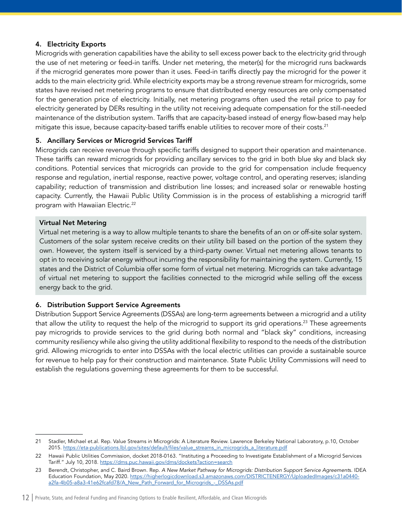### 4. Electricity Exports

Microgrids with generation capabilities have the ability to sell excess power back to the electricity grid through the use of net metering or feed-in tariffs. Under net metering, the meter(s) for the microgrid runs backwards if the microgrid generates more power than it uses. Feed-in tariffs directly pay the microgrid for the power it adds to the main electricity grid. While electricity exports may be a strong revenue stream for microgrids, some states have revised net metering programs to ensure that distributed energy resources are only compensated for the generation price of electricity. Initially, net metering programs often used the retail price to pay for electricity generated by DERs resulting in the utility not receiving adequate compensation for the still-needed maintenance of the distribution system. Tariffs that are capacity-based instead of energy flow-based may help mitigate this issue, because capacity-based tariffs enable utilities to recover more of their costs.<sup>21</sup>

#### 5. Ancillary Services or Microgrid Services Tariff

Microgrids can receive revenue through specific tariffs designed to support their operation and maintenance. These tariffs can reward microgrids for providing ancillary services to the grid in both blue sky and black sky conditions. Potential services that microgrids can provide to the grid for compensation include frequency response and regulation, inertial response, reactive power, voltage control, and operating reserves; islanding capability; reduction of transmission and distribution line losses; and increased solar or renewable hosting capacity. Currently, the Hawaii Public Utility Commission is in the process of establishing a microgrid tariff program with Hawaiian Electric.<sup>22</sup>

#### Virtual Net Metering

Virtual net metering is a way to allow multiple tenants to share the benefits of an on or off-site solar system. Customers of the solar system receive credits on their utility bill based on the portion of the system they own. However, the system itself is serviced by a third-party owner. Virtual net metering allows tenants to opt in to receiving solar energy without incurring the responsibility for maintaining the system. Currently, 15 states and the District of Columbia offer some form of virtual net metering. Microgrids can take advantage of virtual net metering to support the facilities connected to the microgrid while selling off the excess energy back to the grid.

### 6. Distribution Support Service Agreements

Distribution Support Service Agreements (DSSAs) are long-term agreements between a microgrid and a utility that allow the utility to request the help of the microgrid to support its grid operations.<sup>23</sup> These agreements pay microgrids to provide services to the grid during both normal and "black sky" conditions, increasing community resiliency while also giving the utility additional flexibility to respond to the needs of the distribution grid. Allowing microgrids to enter into DSSAs with the local electric utilities can provide a sustainable source for revenue to help pay for their construction and maintenance. State Public Utility Commissions will need to establish the regulations governing these agreements for them to be successful.

<sup>21</sup> Stadler, Michael et.al. Rep. Value Streams in Microgrids: A Literature Review. Lawrence Berkeley National Laboratory, p.10, October 2015. [https://eta-publications.lbl.gov/sites/default/files/value\\_streams\\_in\\_microgrids\\_a\\_literature.pdf](https://eta-publications.lbl.gov/sites/default/files/value_streams_in_microgrids_a_literature.pdf)

<sup>22</sup> Hawaii Public Utilities Commission, docket 2018-0163. "Instituting a Proceeding to Investigate Establishment of a Microgrid Services Tariff." July 10, 2018.<https://dms.puc.hawaii.gov/dms/dockets?action=search>

<sup>23</sup> Berendt, Christopher, and C. Baird Brown. Rep. *A New Market Pathway for Microgrids: Distribution Support Service Agreement*s. IDEA Education Foundation, May 2020. [https://higherlogicdownload.s3.amazonaws.com/DISTRICTENERGY/UploadedImages/c31a0440](https://higherlogicdownload.s3.amazonaws.com/DISTRICTENERGY/UploadedImages/c31a0440-a2fa-4b05-a8a3-41e62fcafd78/A_New_Path_Forward_for_Microgrids_-_DSSAs.pdf) [a2fa-4b05-a8a3-41e62fcafd78/A\\_New\\_Path\\_Forward\\_for\\_Microgrids\\_-\\_DSSAs.pdf](https://higherlogicdownload.s3.amazonaws.com/DISTRICTENERGY/UploadedImages/c31a0440-a2fa-4b05-a8a3-41e62fcafd78/A_New_Path_Forward_for_Microgrids_-_DSSAs.pdf)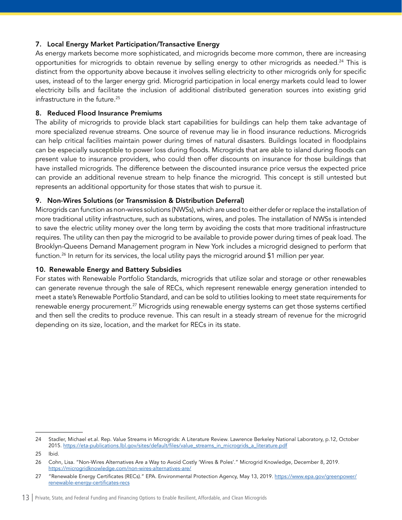### 7. Local Energy Market Participation/Transactive Energy

As energy markets become more sophisticated, and microgrids become more common, there are increasing opportunities for microgrids to obtain revenue by selling energy to other microgrids as needed.<sup>24</sup> This is distinct from the opportunity above because it involves selling electricity to other microgrids only for specific uses, instead of to the larger energy grid. Microgrid participation in local energy markets could lead to lower electricity bills and facilitate the inclusion of additional distributed generation sources into existing grid infrastructure in the future.<sup>25</sup>

#### 8. Reduced Flood Insurance Premiums

The ability of microgrids to provide black start capabilities for buildings can help them take advantage of more specialized revenue streams. One source of revenue may lie in flood insurance reductions. Microgrids can help critical facilities maintain power during times of natural disasters. Buildings located in floodplains can be especially susceptible to power loss during floods. Microgrids that are able to island during floods can present value to insurance providers, who could then offer discounts on insurance for those buildings that have installed microgrids. The difference between the discounted insurance price versus the expected price can provide an additional revenue stream to help finance the microgrid. This concept is still untested but represents an additional opportunity for those states that wish to pursue it.

#### 9. Non-Wires Solutions (or Transmission & Distribution Deferral)

Microgrids can function as non-wires solutions (NWSs), which are used to either defer or replace the installation of more traditional utility infrastructure, such as substations, wires, and poles. The installation of NWSs is intended to save the electric utility money over the long term by avoiding the costs that more traditional infrastructure requires. The utility can then pay the microgrid to be available to provide power during times of peak load. The Brooklyn-Queens Demand Management program in New York includes a microgrid designed to perform that function.<sup>26</sup> In return for its services, the local utility pays the microgrid around \$1 million per year.

### 10. Renewable Energy and Battery Subsidies

For states with Renewable Portfolio Standards, microgrids that utilize solar and storage or other renewables can generate revenue through the sale of RECs, which represent renewable energy generation intended to meet a state's Renewable Portfolio Standard, and can be sold to utilities looking to meet state requirements for renewable energy procurement.<sup>27</sup> Microgrids using renewable energy systems can get those systems certified and then sell the credits to produce revenue. This can result in a steady stream of revenue for the microgrid depending on its size, location, and the market for RECs in its state.

<sup>24</sup> Stadler, Michael et.al. Rep. Value Streams in Microgrids: A Literature Review. Lawrence Berkeley National Laboratory, p.12, October 2015. [https://eta-publications.lbl.gov/sites/default/files/value\\_streams\\_in\\_microgrids\\_a\\_literature.pdf](https://eta-publications.lbl.gov/sites/default/files/value_streams_in_microgrids_a_literature.pdf)

<sup>25</sup> Ibid.

<sup>26</sup> Cohn, Lisa. "Non-Wires Alternatives Are a Way to Avoid Costly 'Wires & Poles'." Microgrid Knowledge, December 8, 2019. <https://microgridknowledge.com/non-wires-alternatives-are/>

<sup>27 &</sup>quot;Renewable Energy Certificates (RECs)." EPA. Environmental Protection Agency, May 13, 2019. [https://www.epa.gov/greenpower/](https://www.epa.gov/greenpower/renewable-energy-certificates-recs) [renewable-energy-certificates-recs](https://www.epa.gov/greenpower/renewable-energy-certificates-recs)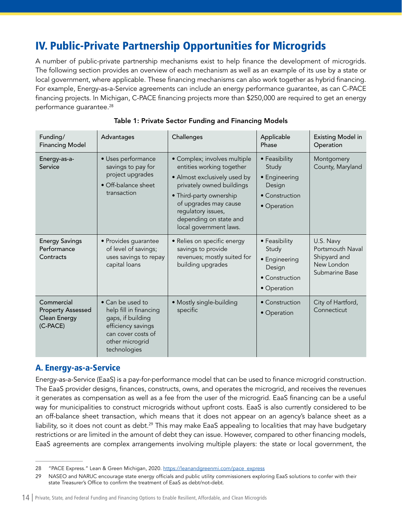# <span id="page-14-0"></span>IV. Public-Private Partnership Opportunities for Microgrids

A number of public-private partnership mechanisms exist to help finance the development of microgrids. The following section provides an overview of each mechanism as well as an example of its use by a state or local government, where applicable. These financing mechanisms can also work together as hybrid financing. For example, Energy-as-a-Service agreements can include an energy performance guarantee, as can C-PACE financing projects. In Michigan, C-PACE financing projects more than \$250,000 are required to get an energy performance quarantee.<sup>28</sup>

| Funding/<br><b>Financing Model</b>                                        | Advantages                                                                                                                                     | Challenges                                                                                                                                                                                                                                           | Applicable<br>Phase                                                                | <b>Existing Model in</b><br>Operation                                         |
|---------------------------------------------------------------------------|------------------------------------------------------------------------------------------------------------------------------------------------|------------------------------------------------------------------------------------------------------------------------------------------------------------------------------------------------------------------------------------------------------|------------------------------------------------------------------------------------|-------------------------------------------------------------------------------|
| Energy-as-a-<br>Service                                                   | · Uses performance<br>savings to pay for<br>project upgrades<br>• Off-balance sheet<br>transaction                                             | · Complex; involves multiple<br>entities working together<br>• Almost exclusively used by<br>privately owned buildings<br>• Third-party ownership<br>of upgrades may cause<br>regulatory issues,<br>depending on state and<br>local government laws. | • Feasibility<br>Study<br>• Engineering<br>Design<br>• Construction<br>• Operation | Montgomery<br>County, Maryland                                                |
| <b>Energy Savings</b><br>Performance<br>Contracts                         | • Provides guarantee<br>of level of savings;<br>uses savings to repay<br>capital loans                                                         | • Relies on specific energy<br>savings to provide<br>revenues; mostly suited for<br>building upgrades                                                                                                                                                | • Feasibility<br>Study<br>• Engineering<br>Design<br>• Construction<br>• Operation | U.S. Navy<br>Portsmouth Naval<br>Shipyard and<br>New London<br>Submarine Base |
| Commercial<br><b>Property Assessed</b><br><b>Clean Energy</b><br>(C-PACE) | • Can be used to<br>help fill in financing<br>gaps, if building<br>efficiency savings<br>can cover costs of<br>other microgrid<br>technologies | · Mostly single-building<br>specific                                                                                                                                                                                                                 | • Construction<br>• Operation                                                      | City of Hartford,<br>Connecticut                                              |

### Table 1: Private Sector Funding and Financing Models

# A. Energy-as-a-Service

Energy-as-a-Service (EaaS) is a pay-for-performance model that can be used to finance microgrid construction. The EaaS provider designs, finances, constructs, owns, and operates the microgrid, and receives the revenues it generates as compensation as well as a fee from the user of the microgrid. EaaS financing can be a useful way for municipalities to construct microgrids without upfront costs. EaaS is also currently considered to be an off-balance sheet transaction, which means that it does not appear on an agency's balance sheet as a liability, so it does not count as debt.<sup>29</sup> This may make EaaS appealing to localities that may have budgetary restrictions or are limited in the amount of debt they can issue. However, compared to other financing models, EaaS agreements are complex arrangements involving multiple players: the state or local government, the

<sup>28 &</sup>quot;PACE Express." Lean & Green Michigan, 2020. [https://leanandgreenmi.com/pace\\_express](https://leanandgreenmi.com/pace_express)

<sup>29</sup> NASEO and NARUC encourage state energy officials and public utility commissioners exploring EaaS solutions to confer with their state Treasurer's Office to confirm the treatment of EaaS as debt/not-debt.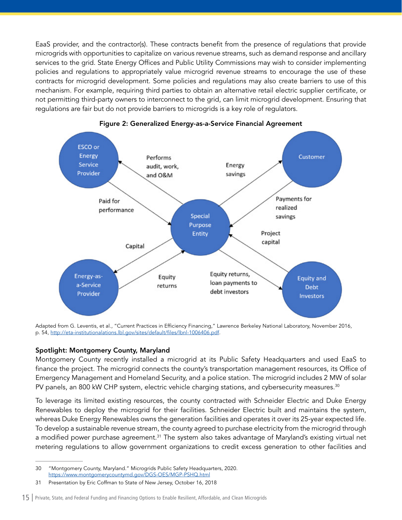<span id="page-15-0"></span>EaaS provider, and the contractor(s). These contracts benefit from the presence of regulations that provide microgrids with opportunities to capitalize on various revenue streams, such as demand response and ancillary services to the grid. State Energy Offices and Public Utility Commissions may wish to consider implementing policies and regulations to appropriately value microgrid revenue streams to encourage the use of these contracts for microgrid development. Some policies and regulations may also create barriers to use of this mechanism. For example, requiring third parties to obtain an alternative retail electric supplier certificate, or not permitting third-party owners to interconnect to the grid, can limit microgrid development. Ensuring that regulations are fair but do not provide barriers to microgrids is a key role of regulators.



#### Figure 2: Generalized Energy-as-a-Service Financial Agreement

Adapted from G. Leventis, et al., "Current Practices in Efficiency Financing," Lawrence Berkeley National Laboratory, November 2016, p. 54, [http://eta-institutionalations.lbl.gov/sites/default/files/lbnl-1006406.pdf.](http://eta-institutionalations.lbl.gov/sites/default/files/lbnl-1006406.pdf)

#### Spotlight: Montgomery County, Maryland

Montgomery County recently installed a microgrid at its Public Safety Headquarters and used EaaS to finance the project. The microgrid connects the county's transportation management resources, its Office of Emergency Management and Homeland Security, and a police station. The microgrid includes 2 MW of solar PV panels, an 800 kW CHP system, electric vehicle charging stations, and cybersecurity measures.<sup>30</sup>

To leverage its limited existing resources, the county contracted with Schneider Electric and Duke Energy Renewables to deploy the microgrid for their facilities. Schneider Electric built and maintains the system, whereas Duke Energy Renewables owns the generation facilities and operates it over its 25-year expected life. To develop a sustainable revenue stream, the county agreed to purchase electricity from the microgrid through a modified power purchase agreement.<sup>31</sup> The system also takes advantage of Maryland's existing virtual net metering regulations to allow government organizations to credit excess generation to other facilities and

<sup>30</sup> "Montgomery County, Maryland." Microgrids Public Safety Headquarters, 2020. <https://www.montgomerycountymd.gov/DGS-OES/MGP-PSHQ.html>

<sup>31</sup> Presentation by Eric Coffman to State of New Jersey, October 16, 2018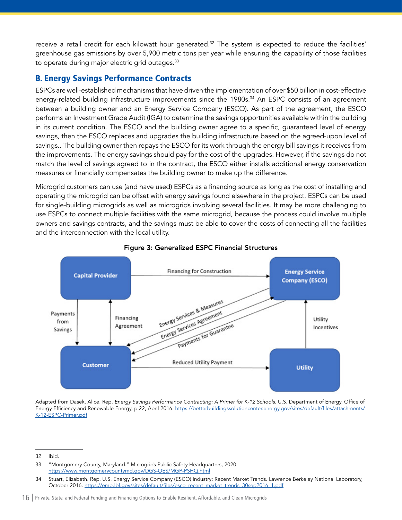<span id="page-16-0"></span>receive a retail credit for each kilowatt hour generated.<sup>32</sup> The system is expected to reduce the facilities' greenhouse gas emissions by over 5,900 metric tons per year while ensuring the capability of those facilities to operate during major electric grid outages.<sup>33</sup>

# B. Energy Savings Performance Contracts

ESPCs are well-established mechanisms that have driven the implementation of over \$50 billion in cost-effective energy-related building infrastructure improvements since the 1980s.<sup>34</sup> An ESPC consists of an agreement between a building owner and an Energy Service Company (ESCO). As part of the agreement, the ESCO performs an Investment Grade Audit (IGA) to determine the savings opportunities available within the building in its current condition. The ESCO and the building owner agree to a specific, guaranteed level of energy savings, then the ESCO replaces and upgrades the building infrastructure based on the agreed-upon level of savings.. The building owner then repays the ESCO for its work through the energy bill savings it receives from the improvements. The energy savings should pay for the cost of the upgrades. However, if the savings do not match the level of savings agreed to in the contract, the ESCO either installs additional energy conservation measures or financially compensates the building owner to make up the difference.

Microgrid customers can use (and have used) ESPCs as a financing source as long as the cost of installing and operating the microgrid can be offset with energy savings found elsewhere in the project. ESPCs can be used for single-building microgrids as well as microgrids involving several facilities. It may be more challenging to use ESPCs to connect multiple facilities with the same microgrid, because the process could involve multiple owners and savings contracts, and the savings must be able to cover the costs of connecting all the facilities and the interconnection with the local utility.



#### Figure 3: Generalized ESPC Financial Structures

Adapted from Dasek, Alice. Rep. *Energy Savings Performance Contracting: A Primer for K-12 Schools*. U.S. Department of Energy, Office of Energy Efficiency and Renewable Energy, p.22, April 2016. [https://betterbuildingssolutioncenter.energy.gov/sites/default/files/attachments/](https://betterbuildingssolutioncenter.energy.gov/sites/default/files/attachments/K-12-ESPC-Primer.pdf) [K-12-ESPC-Primer.pdf](https://betterbuildingssolutioncenter.energy.gov/sites/default/files/attachments/K-12-ESPC-Primer.pdf)

<sup>32</sup> Ibid.

<sup>33</sup> "Montgomery County, Maryland." Microgrids Public Safety Headquarters, 2020. <https://www.montgomerycountymd.gov/DGS-OES/MGP-PSHQ.html>

<sup>34</sup> Stuart, Elizabeth. Rep. U.S. Energy Service Company (ESCO) Industry: Recent Market Trends. Lawrence Berkeley National Laboratory, October 2016. [https://emp.lbl.gov/sites/default/files/esco\\_recent\\_market\\_trends\\_30sep2016\\_1.pdf](https://emp.lbl.gov/sites/default/files/esco_recent_market_trends_30sep2016_1.pdf)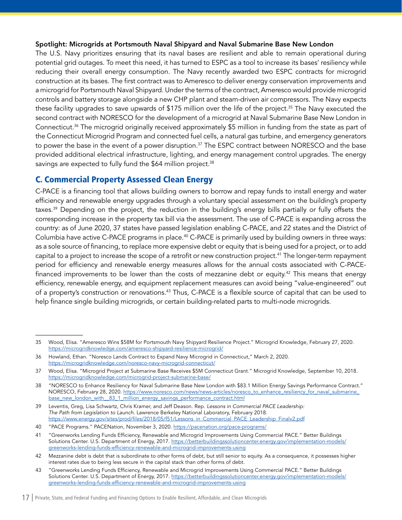#### <span id="page-17-0"></span>Spotlight: Microgrids at Portsmouth Naval Shipyard and Naval Submarine Base New London

The U.S. Navy prioritizes ensuring that its naval bases are resilient and able to remain operational during potential grid outages. To meet this need, it has turned to ESPC as a tool to increase its bases' resiliency while reducing their overall energy consumption. The Navy recently awarded two ESPC contracts for microgrid construction at its bases. The first contract was to Ameresco to deliver energy conservation improvements and a microgrid for Portsmouth Naval Shipyard. Under the terms of the contract, Ameresco would provide microgrid controls and battery storage alongside a new CHP plant and steam-driven air compressors. The Navy expects these facility upgrades to save upwards of \$175 million over the life of the project.<sup>35</sup> The Navy executed the second contract with NORESCO for the development of a microgrid at Naval Submarine Base New London in Connecticut.36 The microgrid originally received approximately \$5 million in funding from the state as part of the Connecticut Microgrid Program and connected fuel cells, a natural gas turbine, and emergency generators to power the base in the event of a power disruption.<sup>37</sup> The ESPC contract between NORESCO and the base provided additional electrical infrastructure, lighting, and energy management control upgrades. The energy savings are expected to fully fund the \$64 million project.<sup>38</sup>

# C. Commercial Property Assessed Clean Energy

C-PACE is a financing tool that allows building owners to borrow and repay funds to install energy and water efficiency and renewable energy upgrades through a voluntary special assessment on the building's property taxes.39 Depending on the project, the reduction in the building's energy bills partially or fully offsets the corresponding increase in the property tax bill via the assessment. The use of C-PACE is expanding across the country: as of June 2020, 37 states have passed legislation enabling C-PACE, and 22 states and the District of Columbia have active C-PACE programs in place.<sup>40</sup> C-PACE is primarily used by building owners in three ways: as a sole source of financing, to replace more expensive debt or equity that is being used for a project, or to add capital to a project to increase the scope of a retrofit or new construction project.41 The longer-term repayment period for efficiency and renewable energy measures allows for the annual costs associated with C-PACEfinanced improvements to be lower than the costs of mezzanine debt or equity.<sup>42</sup> This means that energy efficiency, renewable energy, and equipment replacement measures can avoid being "value-engineered" out of a property's construction or renovations.<sup>43</sup> Thus, C-PACE is a flexible source of capital that can be used to help finance single building microgrids, or certain building-related parts to multi-node microgrids.

<sup>35</sup> Wood, Elisa. "Ameresco Wins \$58M for Portsmouth Navy Shipyard Resilience Project." Microgrid Knowledge, February 27, 2020. <https://microgridknowledge.com/ameresco-shipyard-resilience-microgrid/>

<sup>36</sup> Howland, Ethan. "Noresco Lands Contract to Expand Navy Microgrid in Connecticut," March 2, 2020. <https://microgridknowledge.com/noresco-navy-microgrid-connecticut/>

<sup>37</sup> Wood, Elisa. "Microgrid Project at Submarine Base Receives \$5M Connecticut Grant." Microgrid Knowledge, September 10, 2018. <https://microgridknowledge.com/microgrid-project-submarine-base/>

<sup>38</sup> "NORESCO to Enhance Resiliency for Naval Submarine Base New London with \$83.1 Million Energy Savings Performance Contract." NORESCO, February 28, 2020. [https://www.noresco.com/news/news-articles/noresco\\_to\\_enhance\\_resiliency\\_for\\_naval\\_submarine\\_](https://www.noresco.com/news/news-articles/noresco_to_enhance_resiliency_for_naval_submarine_base_new_london_with__83_1_million_energy_savings_performance_contract.html) base\_new\_london\_with\_83\_1\_million\_energy\_savings\_performance\_contract.html

<sup>39</sup> Leventis, Greg, Lisa Schwartz, Chris Kramer, and Jeff Deason. Rep. *Lessons in Commercial PACE Leadership: The Path from Legislation to Launch*. Lawrence Berkeley National Laboratory, February 2018. [https://www.energy.gov/sites/prod/files/2018/05/f51/Lessons\\_in\\_Commercial\\_PACE\\_Leadership\\_Finalv2.pdf](https://www.energy.gov/sites/prod/files/2018/05/f51/Lessons_in_Commercial_PACE_Leadership_Finalv2.pdf)

<sup>40</sup> "PACE Programs." PACENation, November 3, 2020.<https://pacenation.org/pace-programs/>

<sup>41</sup> "Greenworks Lending Funds Efficiency, Renewable and Microgrid Improvements Using Commercial PACE." Better Buildings Solutions Center. U.S. Department of Energy, 2017. [https://betterbuildingssolutioncenter.energy.gov/implementation-models/](https://betterbuildingssolutioncenter.energy.gov/implementation-models/greenworks-lending-funds-efficiency-renewable-and-microgrid-improvements-using) [greenworks-lending-funds-efficiency-renewable-and-microgrid-improvements-using](https://betterbuildingssolutioncenter.energy.gov/implementation-models/greenworks-lending-funds-efficiency-renewable-and-microgrid-improvements-using)

<sup>42</sup> Mezzanine debt is debt that is subordinate to other forms of debt, but still senior to equity. As a consequence, it possesses higher interest rates due to being less secure in the capital stack than other forms of debt.

<sup>43</sup> "Greenworks Lending Funds Efficiency, Renewable and Microgrid Improvements Using Commercial PACE." Better Buildings Solutions Center. U.S. Department of Energy, 2017. [https://betterbuildingssolutioncenter.energy.gov/implementation-models/](https://betterbuildingssolutioncenter.energy.gov/implementation-models/greenworks-lending-funds-efficiency-renewable-and-microgrid-improvements-using) [greenworks-lending-funds-efficiency-renewable-and-microgrid-improvements-using](https://betterbuildingssolutioncenter.energy.gov/implementation-models/greenworks-lending-funds-efficiency-renewable-and-microgrid-improvements-using)

<sup>17</sup> | Private, State, and Federal Funding and Financing Options to Enable Resilient, Affordable, and Clean Microgrids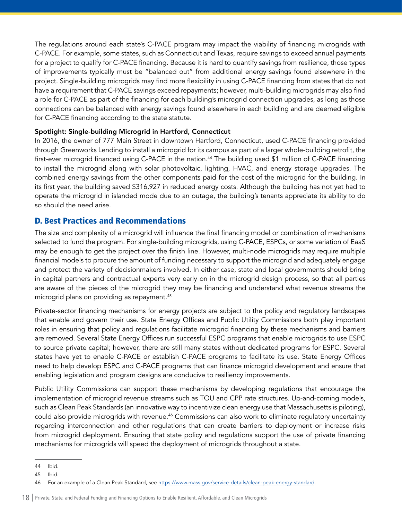<span id="page-18-0"></span>The regulations around each state's C-PACE program may impact the viability of financing microgrids with C-PACE. For example, some states, such as Connecticut and Texas, require savings to exceed annual payments for a project to qualify for C-PACE financing. Because it is hard to quantify savings from resilience, those types of improvements typically must be "balanced out" from additional energy savings found elsewhere in the project. Single-building microgrids may find more flexibility in using C-PACE financing from states that do not have a requirement that C-PACE savings exceed repayments; however, multi-building microgrids may also find a role for C-PACE as part of the financing for each building's microgrid connection upgrades, as long as those connections can be balanced with energy savings found elsewhere in each building and are deemed eligible for C-PACE financing according to the state statute.

#### Spotlight: Single-building Microgrid in Hartford, Connecticut

In 2016, the owner of 777 Main Street in downtown Hartford, Connecticut, used C-PACE financing provided through Greenworks Lending to install a microgrid for its campus as part of a larger whole-building retrofit, the first-ever microgrid financed using C-PACE in the nation.<sup>44</sup> The building used \$1 million of C-PACE financing to install the microgrid along with solar photovoltaic, lighting, HVAC, and energy storage upgrades. The combined energy savings from the other components paid for the cost of the microgrid for the building. In its first year, the building saved \$316,927 in reduced energy costs. Although the building has not yet had to operate the microgrid in islanded mode due to an outage, the building's tenants appreciate its ability to do so should the need arise.

# D. Best Practices and Recommendations

The size and complexity of a microgrid will influence the final financing model or combination of mechanisms selected to fund the program. For single-building microgrids, using C-PACE, ESPCs, or some variation of EaaS may be enough to get the project over the finish line. However, multi-node microgrids may require multiple financial models to procure the amount of funding necessary to support the microgrid and adequately engage and protect the variety of decisionmakers involved. In either case, state and local governments should bring in capital partners and contractual experts very early on in the microgrid design process, so that all parties are aware of the pieces of the microgrid they may be financing and understand what revenue streams the microgrid plans on providing as repayment.<sup>45</sup>

Private-sector financing mechanisms for energy projects are subject to the policy and regulatory landscapes that enable and govern their use. State Energy Offices and Public Utility Commissions both play important roles in ensuring that policy and regulations facilitate microgrid financing by these mechanisms and barriers are removed. Several State Energy Offices run successful ESPC programs that enable microgrids to use ESPC to source private capital; however, there are still many states without dedicated programs for ESPC. Several states have yet to enable C-PACE or establish C-PACE programs to facilitate its use. State Energy Offices need to help develop ESPC and C-PACE programs that can finance microgrid development and ensure that enabling legislation and program designs are conducive to resiliency improvements.

Public Utility Commissions can support these mechanisms by developing regulations that encourage the implementation of microgrid revenue streams such as TOU and CPP rate structures. Up-and-coming models, such as Clean Peak Standards (an innovative way to incentivize clean energy use that Massachusetts is piloting), could also provide microgrids with revenue.<sup>46</sup> Commissions can also work to eliminate regulatory uncertainty regarding interconnection and other regulations that can create barriers to deployment or increase risks from microgrid deployment. Ensuring that state policy and regulations support the use of private financing mechanisms for microgrids will speed the deployment of microgrids throughout a state.

<sup>44</sup> Ibid.

<sup>45</sup> Ibid.

<sup>46</sup> For an example of a Clean Peak Standard, see<https://www.mass.gov/service-details/clean-peak-energy-standard>.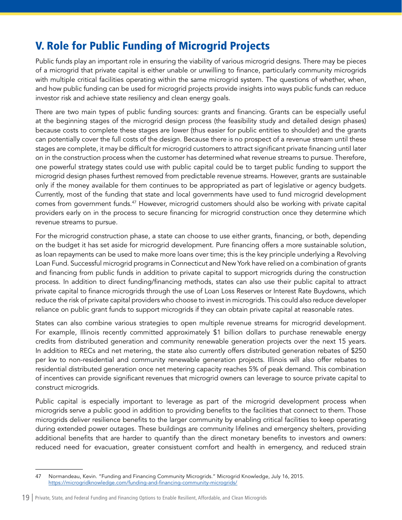# <span id="page-19-0"></span>V. Role for Public Funding of Microgrid Projects

Public funds play an important role in ensuring the viability of various microgrid designs. There may be pieces of a microgrid that private capital is either unable or unwilling to finance, particularly community microgrids with multiple critical facilities operating within the same microgrid system. The questions of whether, when, and how public funding can be used for microgrid projects provide insights into ways public funds can reduce investor risk and achieve state resiliency and clean energy goals.

There are two main types of public funding sources: grants and financing. Grants can be especially useful at the beginning stages of the microgrid design process (the feasibility study and detailed design phases) because costs to complete these stages are lower (thus easier for public entities to shoulder) and the grants can potentially cover the full costs of the design. Because there is no prospect of a revenue stream until these stages are complete, it may be difficult for microgrid customers to attract significant private financing until later on in the construction process when the customer has determined what revenue streams to pursue. Therefore, one powerful strategy states could use with public capital could be to target public funding to support the microgrid design phases furthest removed from predictable revenue streams. However, grants are sustainable only if the money available for them continues to be appropriated as part of legislative or agency budgets. Currently, most of the funding that state and local governments have used to fund microgrid development comes from government funds.47 However, microgrid customers should also be working with private capital providers early on in the process to secure financing for microgrid construction once they determine which revenue streams to pursue.

For the microgrid construction phase, a state can choose to use either grants, financing, or both, depending on the budget it has set aside for microgrid development. Pure financing offers a more sustainable solution, as loan repayments can be used to make more loans over time; this is the key principle underlying a Revolving Loan Fund. Successful microgrid programs in Connecticut and New York have relied on a combination of grants and financing from public funds in addition to private capital to support microgrids during the construction process. In addition to direct funding/financing methods, states can also use their public capital to attract private capital to finance microgrids through the use of Loan Loss Reserves or Interest Rate Buydowns, which reduce the risk of private capital providers who choose to invest in microgrids. This could also reduce developer reliance on public grant funds to support microgrids if they can obtain private capital at reasonable rates.

States can also combine various strategies to open multiple revenue streams for microgrid development. For example, Illinois recently committed approximately \$1 billion dollars to purchase renewable energy credits from distributed generation and community renewable generation projects over the next 15 years. In addition to RECs and net metering, the state also currently offers distributed generation rebates of \$250 per kw to non-residential and community renewable generation projects. Illinois will also offer rebates to residential distributed generation once net metering capacity reaches 5% of peak demand. This combination of incentives can provide significant revenues that microgrid owners can leverage to source private capital to construct microgrids.

Public capital is especially important to leverage as part of the microgrid development process when microgrids serve a public good in addition to providing benefits to the facilities that connect to them. Those microgrids deliver resilience benefits to the larger community by enabling critical facilities to keep operating during extended power outages. These buildings are community lifelines and emergency shelters, providing additional benefits that are harder to quantify than the direct monetary benefits to investors and owners: reduced need for evacuation, greater consistuent comfort and health in emergency, and reduced strain

<sup>47</sup> Normandeau, Kevin. "Funding and Financing Community Microgrids." Microgrid Knowledge, July 16, 2015. <https://microgridknowledge.com/funding-and-financing-community-microgrids/>

<sup>19</sup> | Private, State, and Federal Funding and Financing Options to Enable Resilient, Affordable, and Clean Microgrids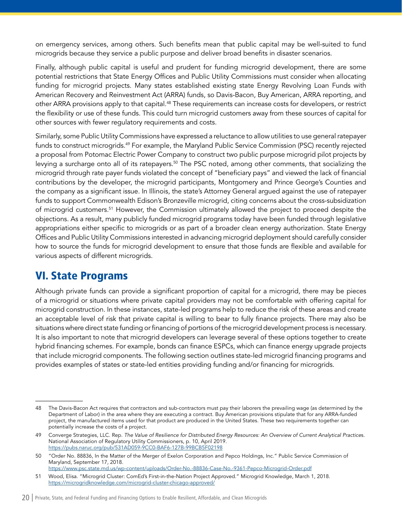<span id="page-20-0"></span>on emergency services, among others. Such benefits mean that public capital may be well-suited to fund microgrids because they service a public purpose and deliver broad benefits in disaster scenarios.

Finally, although public capital is useful and prudent for funding microgrid development, there are some potential restrictions that State Energy Offices and Public Utility Commissions must consider when allocating funding for microgrid projects. Many states established existing state Energy Revolving Loan Funds with American Recovery and Reinvestment Act (ARRA) funds, so Davis-Bacon, Buy American, ARRA reporting, and other ARRA provisions apply to that capital.48 These requirements can increase costs for developers, or restrict the flexibility or use of these funds. This could turn microgrid customers away from these sources of capital for other sources with fewer regulatory requirements and costs.

Similarly, some Public Utility Commissions have expressed a reluctance to allow utilities to use general ratepayer funds to construct microgrids.49 For example, the Maryland Public Service Commission (PSC) recently rejected a proposal from Potomac Electric Power Company to construct two public purpose microgrid pilot projects by levying a surcharge onto all of its ratepayers.<sup>50</sup> The PSC noted, among other comments, that socializing the microgrid through rate payer funds violated the concept of "beneficiary pays" and viewed the lack of financial contributions by the developer, the microgrid participants, Montgomery and Prince George's Counties and the company as a significant issue. In Illinois, the state's Attorney General argued against the use of ratepayer funds to support Commonwealth Edison's Bronzeville microgrid, citing concerns about the cross-subsidization of microgrid customers.51 However, the Commission ultimately allowed the project to proceed despite the objections. As a result, many publicly funded microgrid programs today have been funded through legislative appropriations either specific to microgrids or as part of a broader clean energy authorization. State Energy Offices and Public Utility Commissions interested in advancing microgrid deployment should carefully consider how to source the funds for microgrid development to ensure that those funds are flexible and available for various aspects of different microgrids.

# VI. State Programs

Although private funds can provide a significant proportion of capital for a microgrid, there may be pieces of a microgrid or situations where private capital providers may not be comfortable with offering capital for microgrid construction. In these instances, state-led programs help to reduce the risk of these areas and create an acceptable level of risk that private capital is willing to bear to fully finance projects. There may also be situations where direct state funding or financing of portions of the microgrid development process is necessary. It is also important to note that microgrid developers can leverage several of these options together to create hybrid financing schemes. For example, bonds can finance ESPCs, which can finance energy upgrade projects that include microgrid components. The following section outlines state-led microgrid financing programs and provides examples of states or state-led entities providing funding and/or financing for microgrids.

<sup>48</sup> The Davis-Bacon Act requires that contractors and sub-contractors must pay their laborers the prevailing wage (as determined by the Department of Labor) in the area where they are executing a contract. Buy American provisions stipulate that for any ARRA-funded project, the manufactured items used for that product are produced in the United States. These two requirements together can potentially increase the costs of a project.

<sup>49</sup> Converge Strategies, LLC. Rep. *The Value of Resilience for Distributed Energy Resources: An Overview of Current Analytical Practice*s. National Association of Regulatory Utility Commissioners, p. 10, April 2019. <https://pubs.naruc.org/pub/531AD059-9CC0-BAF6-127B-99BCB5F02198>

<sup>50</sup> "Order No. 88836, In the Matter of the Merger of Exelon Corporation and Pepco Holdings, Inc." Public Service Commission of Maryland, September 17, 2018.

<https://www.psc.state.md.us/wp-content/uploads/Order-No.-88836-Case-No.-9361-Pepco-Microgrid-Order.pdf> 51 Wood, Elisa. "Microgrid Cluster: ComEd's First-in-the-Nation Project Approved." Microgrid Knowledge, March 1, 2018.

<https://microgridknowledge.com/microgrid-cluster-chicago-approved/>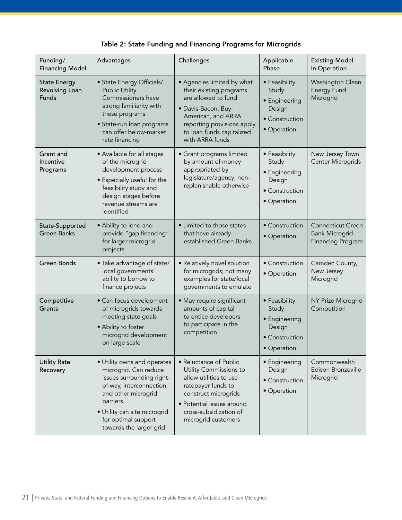| Table 2: State Funding and Financing Programs for Microgrids |  |  |
|--------------------------------------------------------------|--|--|
|                                                              |  |  |

| Funding/<br><b>Financing Model</b>             | Advantages                                                                                                                                                                                                                          | Challenges                                                                                                                                                                                              | Applicable<br>Phase                                                                | <b>Existing Model</b><br>in Operation                                         |
|------------------------------------------------|-------------------------------------------------------------------------------------------------------------------------------------------------------------------------------------------------------------------------------------|---------------------------------------------------------------------------------------------------------------------------------------------------------------------------------------------------------|------------------------------------------------------------------------------------|-------------------------------------------------------------------------------|
| <b>State Energy</b><br>Revolving Loan<br>Funds | • State Energy Officials/<br><b>Public Utility</b><br>Commissioners have<br>strong familiarity with<br>these programs<br>· State-run loan programs<br>can offer below-market<br>rate financing                                      | • Agencies limited by what<br>their existing programs<br>are allowed to fund<br>· Davis-Bacon, Buy-<br>American, and ARRA<br>reporting provisions apply<br>to loan funds capitalized<br>with ARRA funds | • Feasibility<br>Study<br>• Engineering<br>Design<br>• Construction<br>• Operation | Washington Clean<br><b>Energy Fund</b><br>Microgrid                           |
| Grant and<br>Incentive<br>Programs             | • Available for all stages<br>of the microgrid<br>development process<br>• Especially useful for the<br>feasibility study and<br>design stages before<br>revenue streams are<br>identified                                          | • Grant programs limited<br>by amount of money<br>appropriated by<br>legislature/agency; non-<br>replenishable otherwise                                                                                | • Feasibility<br>Study<br>• Engineering<br>Design<br>• Construction<br>• Operation | New Jersey Town<br>Center Microgrids                                          |
| State-Supported<br><b>Green Banks</b>          | · Ability to lend and<br>provide "gap financing"<br>for larger microgrid<br>projects                                                                                                                                                | • Limited to those states<br>that have already<br>established Green Banks                                                                                                                               | • Construction<br>• Operation                                                      | <b>Connecticut Green</b><br><b>Bank Microgrid</b><br><b>Financing Program</b> |
| <b>Green Bonds</b>                             | · Take advantage of state/<br>local governments'<br>ability to borrow to<br>finance projects                                                                                                                                        | · Relatively novel solution<br>for microgrids; not many<br>examples for state/local<br>governments to emulate                                                                                           | • Construction<br>• Operation                                                      | Camden County,<br>New Jersey<br>Microgrid                                     |
| Competitive<br>Grants                          | • Can focus development<br>of microgrids towards<br>meeting state goals<br>• Ability to foster<br>microgrid development<br>on large scale                                                                                           | • May require significant<br>amounts of capital<br>to entice developers<br>to participate in the<br>competition                                                                                         | • Feasibility<br>Study<br>• Engineering<br>Design<br>• Construction<br>· Operation | NY Prize Microgrid<br>Competition                                             |
| <b>Utility Rate</b><br>Recovery                | • Utility owns and operates<br>microgrid. Can reduce<br>issues surrounding right-<br>of-way, interconnection,<br>and other microgrid<br>barriers.<br>· Utility can site microgrid<br>for optimal support<br>towards the larger grid | • Reluctance of Public<br>Utility Commissions to<br>allow utilities to use<br>ratepayer funds to<br>construct microgrids<br>· Potential issues around<br>cross-subsidization of<br>microgrid customers  | • Engineering<br>Design<br>• Construction<br>• Operation                           | Commonwealth<br>Edison Bronzeville<br>Microgrid                               |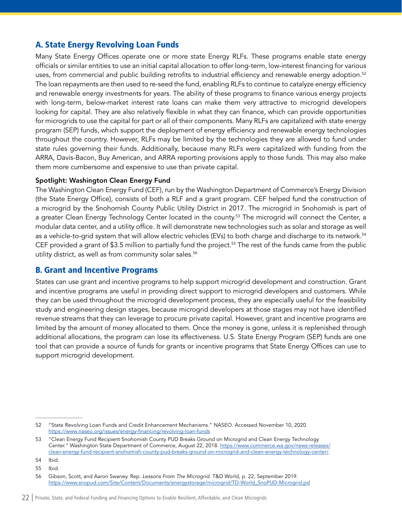# <span id="page-22-0"></span>A. State Energy Revolving Loan Funds

Many State Energy Offices operate one or more state Energy RLFs. These programs enable state energy officials or similar entities to use an initial capital allocation to offer long-term, low-interest financing for various uses, from commercial and public building retrofits to industrial efficiency and renewable energy adoption.52 The loan repayments are then used to re-seed the fund, enabling RLFs to continue to catalyze energy efficiency and renewable energy investments for years. The ability of these programs to finance various energy projects with long-term, below-market interest rate loans can make them very attractive to microgrid developers looking for capital. They are also relatively flexible in what they can finance, which can provide opportunities for microgrids to use the capital for part or all of their components. Many RLFs are capitalized with state energy program (SEP) funds, which support the deployment of energy efficiency and renewable energy technologies throughout the country. However, RLFs may be limited by the technologies they are allowed to fund under state rules governing their funds. Additionally, because many RLFs were capitalized with funding from the ARRA, Davis-Bacon, Buy American, and ARRA reporting provisions apply to those funds. This may also make them more cumbersome and expensive to use than private capital.

#### Spotlight: Washington Clean Energy Fund

The Washington Clean Energy Fund (CEF), run by the Washington Department of Commerce's Energy Division (the State Energy Office), consists of both a RLF and a grant program. CEF helped fund the construction of a microgrid by the Snohomish County Public Utility District in 2017. The microgrid in Snohomish is part of a greater Clean Energy Technology Center located in the county.<sup>53</sup> The microgrid will connect the Center, a modular data center, and a utility office. It will demonstrate new technologies such as solar and storage as well as a vehicle-to-grid system that will allow electric vehicles (EVs) to both charge and discharge to its network.<sup>54</sup> CEF provided a grant of \$3.5 million to partially fund the project.<sup>55</sup> The rest of the funds came from the public utility district, as well as from community solar sales.<sup>56</sup>

# B. Grant and Incentive Programs

States can use grant and incentive programs to help support microgrid development and construction. Grant and incentive programs are useful in providing direct support to microgrid developers and customers. While they can be used throughout the microgrid development process, they are especially useful for the feasibility study and engineering design stages, because microgrid developers at those stages may not have identified revenue streams that they can leverage to procure private capital. However, grant and incentive programs are limited by the amount of money allocated to them. Once the money is gone, unless it is replenished through additional allocations, the program can lose its effectiveness. U.S. State Energy Program (SEP) funds are one tool that can provide a source of funds for grants or incentive programs that State Energy Offices can use to support microgrid development.

<sup>52</sup> "State Revolving Loan Funds and Credit Enhancement Mechanisms." NASEO. Accessed November 10, 2020. <https://www.naseo.org/issues/energy-financing/revolving-loan-funds>

<sup>53</sup> "Clean Energy Fund Recipient Snohomish County PUD Breaks Ground on Microgrid and Clean Energy Technology Center." Washington State Department of Commerce, August 22, 2018. [https://www.commerce.wa.gov/news-releases/](https://www.commerce.wa.gov/news-releases/clean-energy-fund-recipient-snohomish-county-pud-breaks-ground-on-microgrid-and-clean-energy-technology-center/) [clean-energy-fund-recipient-snohomish-county-pud-breaks-ground-on-microgrid-and-clean-energy-technology-center/.](https://www.commerce.wa.gov/news-releases/clean-energy-fund-recipient-snohomish-county-pud-breaks-ground-on-microgrid-and-clean-energy-technology-center/)

<sup>54</sup> Ibid.

<sup>55</sup> Ibid.

<sup>56</sup> Gibson, Scott, and Aaron Swaney. Rep. *Lessons From The Microgrid*. T&D World, p. 22, September 2019. [https://www.snopud.com/Site/Content/Documents/energystorage/microgrid/TD-World\\_SnoPUD-Microgrid.pd](https://www.snopud.com/Site/Content/Documents/energystorage/microgrid/TD-World_SnoPUD-Microgrid.pd)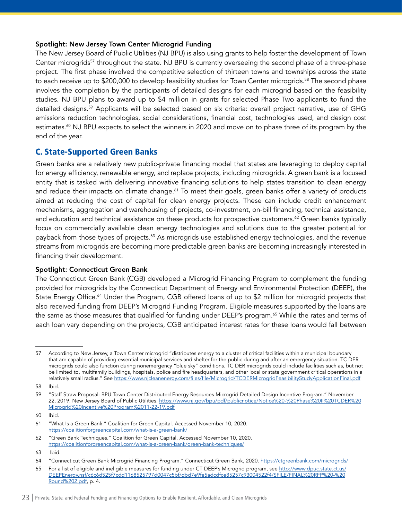#### <span id="page-23-0"></span>Spotlight: New Jersey Town Center Microgrid Funding

The New Jersey Board of Public Utilities (NJ BPU) is also using grants to help foster the development of Town Center microgrids<sup>57</sup> throughout the state. NJ BPU is currently overseeing the second phase of a three-phase project. The first phase involved the competitive selection of thirteen towns and townships across the state to each receive up to \$200,000 to develop feasibility studies for Town Center microgrids.<sup>58</sup> The second phase involves the completion by the participants of detailed designs for each microgrid based on the feasibility studies. NJ BPU plans to award up to \$4 million in grants for selected Phase Two applicants to fund the detailed designs.59 Applicants will be selected based on six criteria: overall project narrative, use of GHG emissions reduction technologies, social considerations, financial cost, technologies used, and design cost estimates.<sup>60</sup> NJ BPU expects to select the winners in 2020 and move on to phase three of its program by the end of the year.

# C. State-Supported Green Banks

Green banks are a relatively new public-private financing model that states are leveraging to deploy capital for energy efficiency, renewable energy, and replace projects, including microgrids. A green bank is a focused entity that is tasked with delivering innovative financing solutions to help states transition to clean energy and reduce their impacts on climate change.<sup>61</sup> To meet their goals, green banks offer a variety of products aimed at reducing the cost of capital for clean energy projects. These can include credit enhancement mechanisms, aggregation and warehousing of projects, co-investment, on-bill financing, technical assistance, and education and technical assistance on these products for prospective customers.<sup>62</sup> Green banks typically focus on commercially available clean energy technologies and solutions due to the greater potential for payback from those types of projects.63 As microgrids use established energy technologies, and the revenue streams from microgrids are becoming more predictable green banks are becoming increasingly interested in financing their development.

#### Spotlight: Connecticut Green Bank

The Connecticut Green Bank (CGB) developed a Microgrid Financing Program to complement the funding provided for microgrids by the Connecticut Department of Energy and Environmental Protection (DEEP), the State Energy Office.<sup>64</sup> Under the Program, CGB offered loans of up to \$2 million for microgrid projects that also received funding from DEEP's Microgrid Funding Program. Eligible measures supported by the loans are the same as those measures that qualified for funding under DEEP's program.<sup>65</sup> While the rates and terms of each loan vary depending on the projects, CGB anticipated interest rates for these loans would fall between

<sup>57</sup> According to New Jersey, a Town Center microgrid "distributes energy to a cluster of critical facilities within a municipal boundary that are capable of providing essential municipal services and shelter for the public during and after an emergency situation. TC DER microgrids could also function during nonemergency "blue sky" conditions. TC DER microgrids could include facilities such as, but not be limited to, multifamily buildings, hospitals, police and fire headquarters, and other local or state government critical operations in a relatively small radius." See <https://www.njcleanenergy.com/files/file/Microgrid/TCDERMicrogridFeasibilityStudyApplicationFinal.pdf>

<sup>58</sup> Ibid.

<sup>59</sup> "Staff Straw Proposal: BPU Town Center Distributed Energy Resources Microgrid Detailed Design Incentive Program." November 22, 2019. New Jersey Board of Public Utilities. [https://www.nj.gov/bpu/pdf/publicnotice/Notice%20-%20Phase%20II%20TCDER%20](https://www.nj.gov/bpu/pdf/publicnotice/Notice%20-%20Phase%20II%20TCDER%20Microgrid%20Incentive%20Program%2011-22-19.pdf) [Microgrid%20Incentive%20Program%2011-22-19.pdf](https://www.nj.gov/bpu/pdf/publicnotice/Notice%20-%20Phase%20II%20TCDER%20Microgrid%20Incentive%20Program%2011-22-19.pdf)

<sup>60</sup> Ibid.

<sup>61</sup> "What Is a Green Bank." Coalition for Green Capital. Accessed November 10, 2020. <https://coalitionforgreencapital.com/what-is-a-green-bank/>

<sup>62</sup> "Green Bank Techniques." Coalition for Green Capital. Accessed November 10, 2020. <https://coalitionforgreencapital.com/what-is-a-green-bank/green-bank-techniques/>

<sup>63</sup> Ibid.

<sup>64</sup> "Connecticut Green Bank Microgrid Financing Program." Connecticut Green Bank, 2020.<https://ctgreenbank.com/microgrids/>

<sup>65</sup> For a list of eligible and ineligible measures for funding under CT DEEP's Microgrid program, see [http://www.dpuc.state.ct.us/](http://www.dpuc.state.ct.us/DEEPEnergy.nsf/c6c6d525f7cdd1168525797d0047c5bf/dbd7e9fe5adcdfce85257c93004522f4/$FILE/FINAL%20RFP%20-%20Round%202.pdf) [DEEPEnergy.nsf/c6c6d525f7cdd1168525797d0047c5bf/dbd7e9fe5adcdfce85257c93004522f4/\\$FILE/FINAL%20RFP%20-%20](http://www.dpuc.state.ct.us/DEEPEnergy.nsf/c6c6d525f7cdd1168525797d0047c5bf/dbd7e9fe5adcdfce85257c93004522f4/$FILE/FINAL%20RFP%20-%20Round%202.pdf) [Round%202.pdf](http://www.dpuc.state.ct.us/DEEPEnergy.nsf/c6c6d525f7cdd1168525797d0047c5bf/dbd7e9fe5adcdfce85257c93004522f4/$FILE/FINAL%20RFP%20-%20Round%202.pdf), p. 4.

<sup>23 |</sup> Private, State, and Federal Funding and Financing Options to Enable Resilient, Affordable, and Clean Microgrids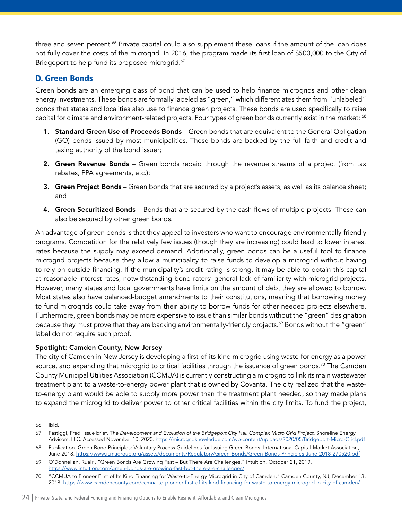<span id="page-24-0"></span>three and seven percent.<sup>66</sup> Private capital could also supplement these loans if the amount of the loan does not fully cover the costs of the microgrid. In 2016, the program made its first loan of \$500,000 to the City of Bridgeport to help fund its proposed microgrid.<sup>67</sup>

# D. Green Bonds

Green bonds are an emerging class of bond that can be used to help finance microgrids and other clean energy investments. These bonds are formally labeled as "green," which differentiates them from "unlabeled" bonds that states and localities also use to finance green projects. These bonds are used specifically to raise capital for climate and environment-related projects. Four types of green bonds currently exist in the market: 68

- 1. Standard Green Use of Proceeds Bonds Green bonds that are equivalent to the General Obligation (GO) bonds issued by most municipalities. These bonds are backed by the full faith and credit and taxing authority of the bond issuer;
- 2. Green Revenue Bonds Green bonds repaid through the revenue streams of a project (from tax rebates, PPA agreements, etc.);
- **3. Green Project Bonds** Green bonds that are secured by a project's assets, as well as its balance sheet; and
- 4. Green Securitized Bonds Bonds that are secured by the cash flows of multiple projects. These can also be secured by other green bonds.

An advantage of green bonds is that they appeal to investors who want to encourage environmentally-friendly programs. Competition for the relatively few issues (though they are increasing) could lead to lower interest rates because the supply may exceed demand. Additionally, green bonds can be a useful tool to finance microgrid projects because they allow a municipality to raise funds to develop a microgrid without having to rely on outside financing. If the municipality's credit rating is strong, it may be able to obtain this capital at reasonable interest rates, notwithstanding bond raters' general lack of familiarity with microgrid projects. However, many states and local governments have limits on the amount of debt they are allowed to borrow. Most states also have balanced-budget amendments to their constitutions, meaning that borrowing money to fund microgrids could take away from their ability to borrow funds for other needed projects elsewhere. Furthermore, green bonds may be more expensive to issue than similar bonds without the "green" designation because they must prove that they are backing environmentally-friendly projects.<sup>69</sup> Bonds without the "green" label do not require such proof.

### Spotlight: Camden County, New Jersey

The city of Camden in New Jersey is developing a first-of-its-kind microgrid using waste-for-energy as a power source, and expanding that microgrid to critical facilities through the issuance of green bonds.<sup>70</sup> The Camden County Municipal Utilities Association (CCMUA) is currently constructing a microgrid to link its main wastewater treatment plant to a waste-to-energy power plant that is owned by Covanta. The city realized that the wasteto-energy plant would be able to supply more power than the treatment plant needed, so they made plans to expand the microgrid to deliver power to other critical facilities within the city limits. To fund the project,

<sup>66</sup> Ibid.

<sup>67</sup> Fastiggi, Fred. Issue brief. T*he Development and Evolution of the Bridgeport City Hall Complex Micro Grid Project*. Shoreline Energy Advisors, LLC. Accessed November 10, 2020.<https://microgridknowledge.com/wp-content/uploads/2020/05/Bridgeport-Micro-Grid.pdf>

<sup>68</sup> Publication. Green Bond Principles: Voluntary Process Guidelines for Issuing Green Bonds. International Capital Market Association, June 2018.<https://www.icmagroup.org/assets/documents/Regulatory/Green-Bonds/Green-Bonds-Principles-June-2018-270520.pdf>

<sup>69</sup> O'Donnellan, Ruairi. "Green Bonds Are Growing Fast – But There Are Challenges." Intuition, October 21, 2019. <https://www.intuition.com/green-bonds-are-growing-fast-but-there-are-challenges/>

<sup>70</sup> "CCMUA to Pioneer First of Its Kind Financing for Waste-to-Energy Microgrid in City of Camden." Camden County, NJ, December 13, 2018.<https://www.camdencounty.com/ccmua-to-pioneer-first-of-its-kind-financing-for-waste-to-energy-microgrid-in-city-of-camden/>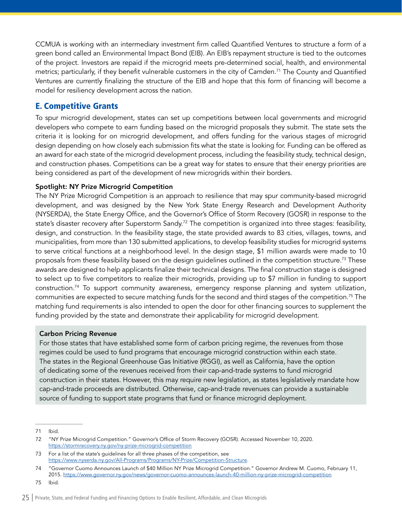<span id="page-25-0"></span>CCMUA is working with an intermediary investment firm called Quantified Ventures to structure a form of a green bond called an Environmental Impact Bond (EIB). An EIB's repayment structure is tied to the outcomes of the project. Investors are repaid if the microgrid meets pre-determined social, health, and environmental metrics; particularly, if they benefit vulnerable customers in the city of Camden.<sup>71</sup> The County and Quantified Ventures are currently finalizing the structure of the EIB and hope that this form of financing will become a model for resiliency development across the nation.

# E. Competitive Grants

To spur microgrid development, states can set up competitions between local governments and microgrid developers who compete to earn funding based on the microgrid proposals they submit. The state sets the criteria it is looking for on microgrid development, and offers funding for the various stages of microgrid design depending on how closely each submission fits what the state is looking for. Funding can be offered as an award for each state of the microgrid development process, including the feasibility study, technical design, and construction phases. Competitions can be a great way for states to ensure that their energy priorities are being considered as part of the development of new microgrids within their borders.

### Spotlight: NY Prize Microgrid Competition

The NY Prize Microgrid Competition is an approach to resilience that may spur community-based microgrid development, and was designed by the New York State Energy Research and Development Authority (NYSERDA), the State Energy Office, and the Governor's Office of Storm Recovery (GOSR) in response to the state's disaster recovery after Superstorm Sandy.<sup>72</sup> The competition is organized into three stages: feasibility, design, and construction. In the feasibility stage, the state provided awards to 83 cities, villages, towns, and municipalities, from more than 130 submitted applications, to develop feasibility studies for microgrid systems to serve critical functions at a neighborhood level. In the design stage, \$1 million awards were made to 10 proposals from these feasibility based on the design guidelines outlined in the competition structure.73 These awards are designed to help applicants finalize their technical designs. The final construction stage is designed to select up to five competitors to realize their microgrids, providing up to \$7 million in funding to support construction.<sup>74</sup> To support community awareness, emergency response planning and system utilization, communities are expected to secure matching funds for the second and third stages of the competition.75 The matching fund requirements is also intended to open the door for other financing sources to supplement the funding provided by the state and demonstrate their applicability for microgrid development.

### Carbon Pricing Revenue

For those states that have established some form of carbon pricing regime, the revenues from those regimes could be used to fund programs that encourage microgrid construction within each state. The states in the Regional Greenhouse Gas Initiative (RGGI), as well as California, have the option of dedicating some of the revenues received from their cap-and-trade systems to fund microgrid construction in their states. However, this may require new legislation, as states legislatively mandate how cap-and-trade proceeds are distributed. Otherwise, cap-and-trade revenues can provide a sustainable source of funding to support state programs that fund or finance microgrid deployment.

71 Ibid.

<sup>72</sup> "NY Prize Microgrid Competition." Governor's Office of Storm Recovery (GOSR). Accessed November 10, 2020. <https://stormrecovery.ny.gov/ny-prize-microgrid-competition>

<sup>73</sup> For a list of the state's guidelines for all three phases of the competition, see <https://www.nyserda.ny.gov/All-Programs/Programs/NY-Prize/Competition-Structure>.

<sup>74</sup> "Governor Cuomo Announces Launch of \$40 Million NY Prize Microgrid Competition." Governor Andrew M. Cuomo, February 11, 2015.<https://www.governor.ny.gov/news/governor-cuomo-announces-launch-40-million-ny-prize-microgrid-competition>

<sup>75</sup> Ibid.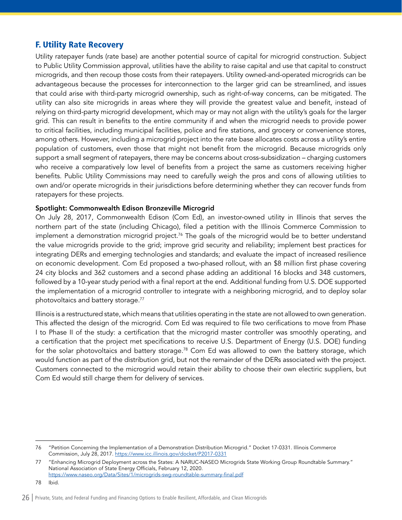# <span id="page-26-0"></span>F. Utility Rate Recovery

Utility ratepayer funds (rate base) are another potential source of capital for microgrid construction. Subject to Public Utility Commission approval, utilities have the ability to raise capital and use that capital to construct microgrids, and then recoup those costs from their ratepayers. Utility owned-and-operated microgrids can be advantageous because the processes for interconnection to the larger grid can be streamlined, and issues that could arise with third-party microgrid ownership, such as right-of-way concerns, can be mitigated. The utility can also site microgrids in areas where they will provide the greatest value and benefit, instead of relying on third-party microgrid development, which may or may not align with the utility's goals for the larger grid. This can result in benefits to the entire community if and when the microgrid needs to provide power to critical facilities, including municipal facilities, police and fire stations, and grocery or convenience stores, among others. However, including a microgrid project into the rate base allocates costs across a utility's entire population of customers, even those that might not benefit from the microgrid. Because microgrids only support a small segment of ratepayers, there may be concerns about cross-subsidization – charging customers who receive a comparatively low level of benefits from a project the same as customers receiving higher benefits. Public Utility Commissions may need to carefully weigh the pros and cons of allowing utilities to own and/or operate microgrids in their jurisdictions before determining whether they can recover funds from ratepayers for these projects.

#### Spotlight: Commonwealth Edison Bronzeville Microgrid

On July 28, 2017, Commonwealth Edison (Com Ed), an investor-owned utility in Illinois that serves the northern part of the state (including Chicago), filed a petition with the Illinois Commerce Commission to implement a demonstration microgrid project.<sup>76</sup> The goals of the microgrid would be to better understand the value microgrids provide to the grid; improve grid security and reliability; implement best practices for integrating DERs and emerging technologies and standards; and evaluate the impact of increased resilience on economic development. Com Ed proposed a two-phased rollout, with an \$8 million first phase covering 24 city blocks and 362 customers and a second phase adding an additional 16 blocks and 348 customers, followed by a 10-year study period with a final report at the end. Additional funding from U.S. DOE supported the implementation of a microgrid controller to integrate with a neighboring microgrid, and to deploy solar photovoltaics and battery storage.<sup>77</sup>

Illinois is a restructured state, which means that utilities operating in the state are not allowed to own generation. This affected the design of the microgrid. Com Ed was required to file two cerifications to move from Phase I to Phase II of the study: a certification that the microgrid master controller was smoothly operating, and a certification that the project met specifications to receive U.S. Department of Energy (U.S. DOE) funding for the solar photovoltaics and battery storage.<sup>78</sup> Com Ed was allowed to own the battery storage, which would function as part of the distribution grid, but not the remainder of the DERs associated with the project. Customers connected to the microgrid would retain their ability to choose their own electiric suppliers, but Com Ed would still charge them for delivery of services.

<sup>76</sup> "Petition Concerning the Implementation of a Demonstration Distribution Microgrid." Docket 17-0331. Illinois Commerce Commission, July 28, 2017.<https://www.icc.illinois.gov/docket/P2017-0331>

<sup>77 &</sup>quot;Enhancing Microgrid Deployment across the States: A NARUC-NASEO Microgrids State Working Group Roundtable Summary." National Association of State Energy Officials, February 12, 2020. <https://www.naseo.org/Data/Sites/1/microgrids-swg-roundtable-summary-final.pdf>

<sup>78</sup> Ibid.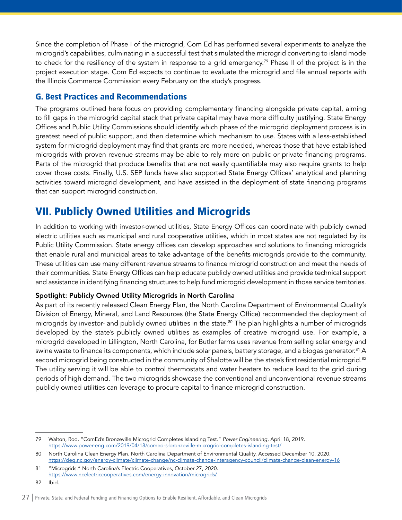<span id="page-27-0"></span>Since the completion of Phase I of the microgrid, Com Ed has performed several experiments to analyze the microgrid's capabilities, culminating in a successful test that simulated the microgrid converting to island mode to check for the resiliency of the system in response to a grid emergency.<sup>79</sup> Phase II of the project is in the project execution stage. Com Ed expects to continue to evaluate the microgrid and file annual reports with the Illinois Commerce Commission every February on the study's progress.

# G. Best Practices and Recommendations

The programs outlined here focus on providing complementary financing alongside private capital, aiming to fill gaps in the microgrid capital stack that private capital may have more difficulty justifying. State Energy Offices and Public Utility Commissions should identify which phase of the microgrid deployment process is in greatest need of public support, and then determine which mechanism to use. States with a less-established system for microgrid deployment may find that grants are more needed, whereas those that have established microgrids with proven revenue streams may be able to rely more on public or private financing programs. Parts of the microgrid that produce benefits that are not easily quantifiable may also require grants to help cover those costs. Finally, U.S. SEP funds have also supported State Energy Offices' analytical and planning activities toward microgrid development, and have assisted in the deployment of state financing programs that can support microgrid construction.

# VII. Publicly Owned Utilities and Microgrids

In addition to working with investor-owned utilities, State Energy Offices can coordinate with publicly owned electric utilities such as municipal and rural cooperative utilities, which in most states are not regulated by its Public Utility Commission. State energy offices can develop approaches and solutions to financing microgrids that enable rural and municipal areas to take advantage of the benefits microgrids provide to the community. These utilities can use many different revenue streams to finance microgrid construction and meet the needs of their communities. State Energy Offices can help educate publicly owned utilities and provide technical support and assistance in identifying financing structures to help fund microgrid development in those service territories.

### Spotlight: Publicly Owned Utility Microgrids in North Carolina

As part of its recently released Clean Energy Plan, the North Carolina Department of Environmental Quality's Division of Energy, Mineral, and Land Resources (the State Energy Office) recommended the deployment of microgrids by investor- and publicly owned utilities in the state.<sup>80</sup> The plan highlights a number of microgrids developed by the state's publicly owned utilities as examples of creative microgrid use. For example, a microgrid developed in Lillington, North Carolina, for Butler farms uses revenue from selling solar energy and swine waste to finance its components, which include solar panels, battery storage, and a biogas generator.<sup>81</sup> A second microgrid being constructed in the community of Shalotte will be the state's first residential microgrid.<sup>82</sup> The utility serving it will be able to control thermostats and water heaters to reduce load to the grid during periods of high demand. The two microgrids showcase the conventional and unconventional revenue streams publicly owned utilities can leverage to procure capital to finance microgrid construction.

<sup>79</sup> Walton, Rod. "ComEd's Bronzeville Microgrid Completes Islanding Test." *Power Engineering*, April 18, 2019. <https://www.power-eng.com/2019/04/18/comed-s-bronzeville-microgrid-completes-islanding-test/>

<sup>80</sup> North Carolina Clean Energy Plan. North Carolina Department of Environmental Quality. Accessed December 10, 2020. <https://deq.nc.gov/energy-climate/climate-change/nc-climate-change-interagency-council/climate-change-clean-energy-16>

<sup>81</sup> "Microgrids." North Carolina's Electric Cooperatives, October 27, 2020. <https://www.ncelectriccooperatives.com/energy-innovation/microgrids/>

<sup>82</sup> Ibid.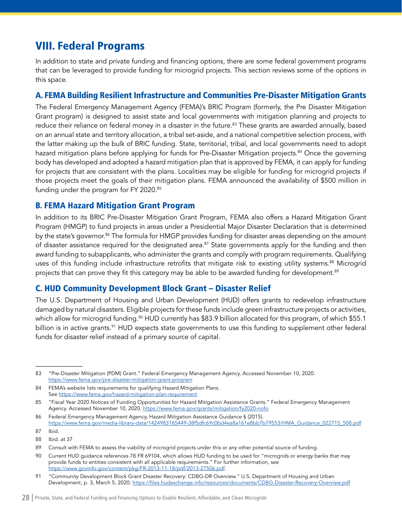# <span id="page-28-0"></span>VIII. Federal Programs

In addition to state and private funding and financing options, there are some federal government programs that can be leveraged to provide funding for microgrid projects. This section reviews some of the options in this space.

# A. FEMA Building Resilient Infrastructure and Communities Pre-Disaster Mitigation Grants

The Federal Emergency Management Agency (FEMA)'s BRIC Program (formerly, the Pre Disaster Mitigation Grant program) is designed to assist state and local governments with mitigation planning and projects to reduce their reliance on federal money in a disaster in the future.<sup>83</sup> These grants are awarded annually, based on an annual state and territory allocation, a tribal set-aside, and a national competitive selection process, with the latter making up the bulk of BRIC funding. State, territorial, tribal, and local governments need to adopt hazard mitigation plans before applying for funds for Pre-Disaster Mitigation projects.<sup>84</sup> Once the governing body has developed and adopted a hazard mitigation plan that is approved by FEMA, it can apply for funding for projects that are consistent with the plans. Localities may be eligible for funding for microgrid projects if those projects meet the goals of their mitigation plans. FEMA announced the availability of \$500 million in funding under the program for FY 2020.<sup>85</sup>

# B. FEMA Hazard Mitigation Grant Program

In addition to its BRIC Pre-Disaster Mitigation Grant Program, FEMA also offers a Hazard Mitigation Grant Program (HMGP) to fund projects in areas under a Presidential Major Disaster Declaration that is determined by the state's governor.<sup>86</sup> The formula for HMGP provides funding for disaster areas depending on the amount of disaster assistance required for the designated area.<sup>87</sup> State governments apply for the funding and then award funding to subapplicants, who administer the grants and comply with program requirements. Qualifying uses of this funding include infrastructure retrofits that mitigate risk to existing utility systems.<sup>88</sup> Microgrid projects that can prove they fit this category may be able to be awarded funding for development.<sup>89</sup>

# C. HUD Community Development Block Grant – Disaster Relief

The U.S. Department of Housing and Urban Development (HUD) offers grants to redevelop infrastructure damaged by natural disasters. Eligible projects for these funds include green infrastructure projects or activities, which allow for microgrid funding.<sup>90</sup> HUD currently has \$83.9 billion allocated for this program, of which \$55.1 billion is in active grants.<sup>91</sup> HUD expects state governments to use this funding to supplement other federal funds for disaster relief instead of a primary source of capital.

<sup>83</sup> "Pre-Disaster Mitigation (PDM) Grant." Federal Emergency Management Agency. Accessed November 10, 2020. <https://www.fema.gov/pre-disaster-mitigation-grant-program>

<sup>84</sup> FEMA's website lists requirements for qualifying Hazard Mitigation Plans. See <https://www.fema.gov/hazard-mitigation-plan-requirement>

<sup>85</sup> "Fiscal Year 2020 Notices of Funding Opportunities for Hazard Mitigation Assistance Grants." Federal Emergency Management Agency. Accessed November 10, 2020.<https://www.fema.gov/grants/mitigation/fy2020-nofo>

<sup>86</sup> Federal Emergency Management Agency, Hazard Mitigation Assistance Guidance § (2015). [https://www.fema.gov/media-library-data/1424983165449-38f5dfc69c0bd4ea8a161e8bb7b79553/HMA\\_Guidance\\_022715\\_508.pdf](https://www.fema.gov/media-library-data/1424983165449-38f5dfc69c0bd4ea8a161e8bb7b79553/HMA_Guidance_022715_508.pdf)

<sup>87</sup> Ibid.

<sup>88</sup> Ibid. at 37

<sup>89</sup> Consult with FEMA to assess the viability of microgrid projects under this or any other potential source of funding.

<sup>90</sup> Current HUD guidance references 78 FR 69104, which allows HUD funding to be used for "microgrids or energy banks that may provide funds to entities consistent with all applicable requirements." For further information, see <https://www.govinfo.gov/content/pkg/FR-2013-11-18/pdf/2013-27506.pdf>.

<sup>91</sup> "Community Development Block Grant Disaster Recovery: CDBG-DR Overview." U.S. Department of Housing and Urban Development, p. 3, March 5, 2020.<https://files.hudexchange.info/resources/documents/CDBG-Disaster-Recovery-Overview.pdf>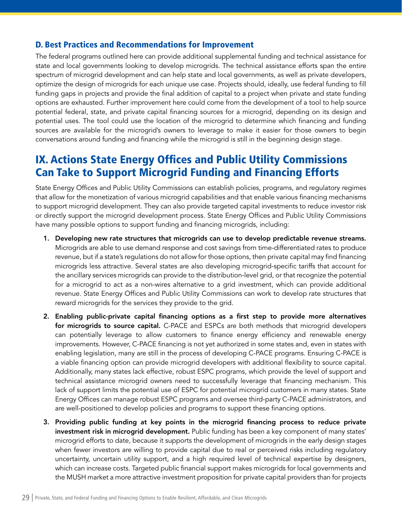# <span id="page-29-0"></span>D. Best Practices and Recommendations for Improvement

The federal programs outlined here can provide additional supplemental funding and technical assistance for state and local governments looking to develop microgrids. The technical assistance efforts span the entire spectrum of microgrid development and can help state and local governments, as well as private developers, optimize the design of microgrids for each unique use case. Projects should, ideally, use federal funding to fill funding gaps in projects and provide the final addition of capital to a project when private and state funding options are exhausted. Further improvement here could come from the development of a tool to help source potential federal, state, and private capital financing sources for a microgrid, depending on its design and potential uses. The tool could use the location of the microgrid to determine which financing and funding sources are available for the microgrid's owners to leverage to make it easier for those owners to begin conversations around funding and financing while the microgrid is still in the beginning design stage.

# IX. Actions State Energy Offices and Public Utility Commissions Can Take to Support Microgrid Funding and Financing Efforts

State Energy Offices and Public Utility Commissions can establish policies, programs, and regulatory regimes that allow for the monetization of various microgrid capabilities and that enable various financing mechanisms to support microgrid development. They can also provide targeted capital investments to reduce investor risk or directly support the microgrid development process. State Energy Offices and Public Utility Commissions have many possible options to support funding and financing microgrids, including:

- 1. Developing new rate structures that microgrids can use to develop predictable revenue streams. Microgrids are able to use demand response and cost savings from time-differentiated rates to produce revenue, but if a state's regulations do not allow for those options, then private capital may find financing microgrids less attractive. Several states are also developing microgrid-specific tariffs that account for the ancillary services microgrids can provide to the distribution-level grid, or that recognize the potential for a microgrid to act as a non-wires alternative to a grid investment, which can provide additional revenue. State Energy Offices and Public Utility Commissions can work to develop rate structures that reward microgrids for the services they provide to the grid.
- 2. Enabling public-private capital financing options as a first step to provide more alternatives for microgrids to source capital. C-PACE and ESPCs are both methods that microgrid developers can potentially leverage to allow customers to finance energy efficiency and renewable energy improvements. However, C-PACE financing is not yet authorized in some states and, even in states with enabling legislation, many are still in the process of developing C-PACE programs. Ensuring C-PACE is a viable financing option can provide microgrid developers with additional flexibility to source capital. Additionally, many states lack effective, robust ESPC programs, which provide the level of support and technical assistance microgrid owners need to successfully leverage that financing mechanism. This lack of support limits the potential use of ESPC for potential microgrid customers in many states. State Energy Offices can manage robust ESPC programs and oversee third-party C-PACE administrators, and are well-positioned to develop policies and programs to support these financing options.
- 3. Providing public funding at key points in the microgrid financing process to reduce private investment risk in microgrid development. Public funding has been a key component of many states' microgrid efforts to date, because it supports the development of microgrids in the early design stages when fewer investors are willing to provide capital due to real or perceived risks including regulatory uncertainty, uncertain utility support, and a high required level of technical expertise by designers, which can increase costs. Targeted public financial support makes microgrids for local governments and the MUSH market a more attractive investment proposition for private capital providers than for projects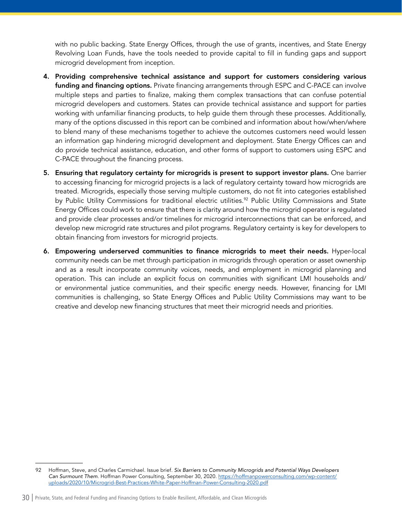with no public backing. State Energy Offices, through the use of grants, incentives, and State Energy Revolving Loan Funds, have the tools needed to provide capital to fill in funding gaps and support microgrid development from inception.

- 4. Providing comprehensive technical assistance and support for customers considering various funding and financing options. Private financing arrangements through ESPC and C-PACE can involve multiple steps and parties to finalize, making them complex transactions that can confuse potential microgrid developers and customers. States can provide technical assistance and support for parties working with unfamiliar financing products, to help guide them through these processes. Additionally, many of the options discussed in this report can be combined and information about how/when/where to blend many of these mechanisms together to achieve the outcomes customers need would lessen an information gap hindering microgrid development and deployment. State Energy Offices can and do provide technical assistance, education, and other forms of support to customers using ESPC and C-PACE throughout the financing process.
- 5. Ensuring that regulatory certainty for microgrids is present to support investor plans. One barrier to accessing financing for microgrid projects is a lack of regulatory certainty toward how microgrids are treated. Microgrids, especially those serving multiple customers, do not fit into categories established by Public Utility Commissions for traditional electric utilities.<sup>92</sup> Public Utility Commissions and State Energy Offices could work to ensure that there is clarity around how the microgrid operator is regulated and provide clear processes and/or timelines for microgrid interconnections that can be enforced, and develop new microgrid rate structures and pilot programs. Regulatory certainty is key for developers to obtain financing from investors for microgrid projects.
- 6. Empowering underserved communities to finance microgrids to meet their needs. Hyper-local community needs can be met through participation in microgrids through operation or asset ownership and as a result incorporate community voices, needs, and employment in microgrid planning and operation. This can include an explicit focus on communities with significant LMI households and/ or environmental justice communities, and their specific energy needs. However, financing for LMI communities is challenging, so State Energy Offices and Public Utility Commissions may want to be creative and develop new financing structures that meet their microgrid needs and priorities.

<sup>92</sup> Hoffman, Steve, and Charles Carmichael. Issue brief. *Six Barriers to Community Microgrids and Potential Ways Developers Can Surmount Them*. Hoffman Power Consulting, September 30, 2020. [https://hoffmanpowerconsulting.com/wp-content/](https://hoffmanpowerconsulting.com/wp-content/uploads/2020/10/Microgrid-Best-Practices-White-Paper-Hoffman-Power-Consulting-2020.pdf) [uploads/2020/10/Microgrid-Best-Practices-White-Paper-Hoffman-Power-Consulting-2020.pdf](https://hoffmanpowerconsulting.com/wp-content/uploads/2020/10/Microgrid-Best-Practices-White-Paper-Hoffman-Power-Consulting-2020.pdf)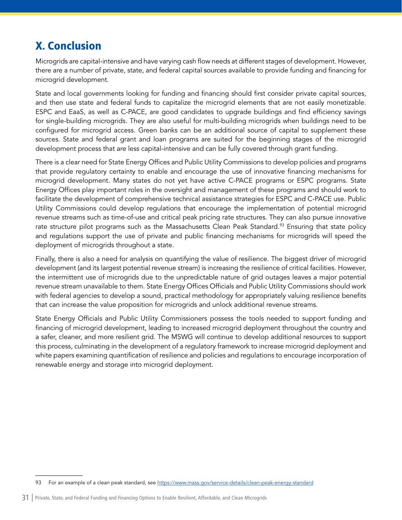# <span id="page-31-0"></span>X. Conclusion

Microgrids are capital-intensive and have varying cash flow needs at different stages of development. However, there are a number of private, state, and federal capital sources available to provide funding and financing for microgrid development.

State and local governments looking for funding and financing should first consider private capital sources, and then use state and federal funds to capitalize the microgrid elements that are not easily monetizable. ESPC and EaaS, as well as C-PACE, are good candidates to upgrade buildings and find efficiency savings for single-building microgrids. They are also useful for multi-building microgrids when buildings need to be configured for microgrid access. Green banks can be an additional source of capital to supplement these sources. State and federal grant and loan programs are suited for the beginning stages of the microgrid development process that are less capital-intensive and can be fully covered through grant funding.

There is a clear need for State Energy Offices and Public Utility Commissions to develop policies and programs that provide regulatory certainty to enable and encourage the use of innovative financing mechanisms for microgrid development. Many states do not yet have active C-PACE programs or ESPC programs. State Energy Offices play important roles in the oversight and management of these programs and should work to facilitate the development of comprehensive technical assistance strategies for ESPC and C-PACE use. Public Utility Commissions could develop regulations that encourage the implementation of potential microgrid revenue streams such as time-of-use and critical peak pricing rate structures. They can also pursue innovative rate structure pilot programs such as the Massachusetts Clean Peak Standard.<sup>93</sup> Ensuring that state policy and regulations support the use of private and public financing mechanisms for microgrids will speed the deployment of microgrids throughout a state.

Finally, there is also a need for analysis on quantifying the value of resilience. The biggest driver of microgrid development (and its largest potential revenue stream) is increasing the resilience of critical facilities. However, the intermittent use of microgrids due to the unpredictable nature of grid outages leaves a major potential revenue stream unavailable to them. State Energy Offices Officials and Public Utility Commissions should work with federal agencies to develop a sound, practical methodology for appropriately valuing resilience benefits that can increase the value proposition for microgrids and unlock additional revenue streams.

State Energy Officials and Public Utility Commissioners possess the tools needed to support funding and financing of microgrid development, leading to increased microgrid deployment throughout the country and a safer, cleaner, and more resilient grid. The MSWG will continue to develop additional resources to support this process, culminating in the development of a regulatory framework to increase microgrid deployment and white papers examining quantification of resilience and policies and regulations to encourage incorporation of renewable energy and storage into microgrid deployment.

<sup>93</sup> For an example of a clean peak standard, see <https://www.mass.gov/service-details/clean-peak-energy-standard>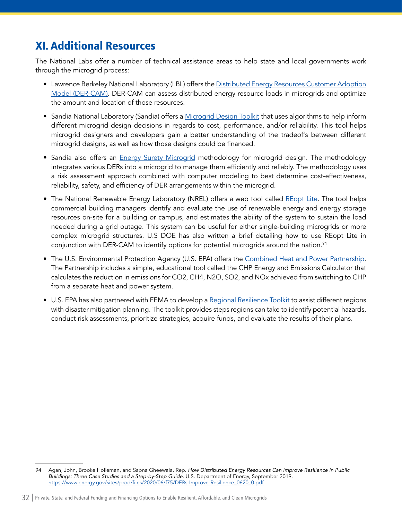# <span id="page-32-0"></span>XI. Additional Resources

The National Labs offer a number of technical assistance areas to help state and local governments work through the microgrid process:

- Lawrence Berkeley National Laboratory (LBL) offers the [Distributed Energy Resources Customer Adoption](https://gridintegration.lbl.gov/der-cam)  [Model \(DER-CAM\)](https://gridintegration.lbl.gov/der-cam). DER-CAM can assess distributed energy resource loads in microgrids and optimize the amount and location of those resources.
- Sandia National Laboratory (Sandia) offers a [Microgrid Design Toolkit](https://energy.sandia.gov/download-sandias-microgrid-design-toolkit-mdt/) that uses algorithms to help inform different microgrid design decisions in regards to cost, performance, and/or reliability. This tool helps microgrid designers and developers gain a better understanding of the tradeoffs between different microgrid designs, as well as how those designs could be financed.
- Sandia also offers an *[Energy Surety Microgrid](https://energy.sandia.gov/programs/electric-grid/advanced-microgrids/esdm/)* methodology for microgrid design. The methodology integrates various DERs into a microgrid to manage them efficiently and reliably. The methodology uses a risk assessment approach combined with computer modeling to best determine cost-effectiveness, reliability, safety, and efficiency of DER arrangements within the microgrid.
- The National Renewable Energy Laboratory (NREL) offers a web tool called [REopt Lite.](https://reopt.nrel.gov/tool) The tool helps commercial building managers identify and evaluate the use of renewable energy and energy storage resources on-site for a building or campus, and estimates the ability of the system to sustain the load needed during a grid outage. This system can be useful for either single-building microgrids or more complex microgrid structures. U.S DOE has also written a brief detailing how to use REopt Lite in conjunction with DER-CAM to identify options for potential microgrids around the nation.<sup>94</sup>
- The U.S. Environmental Protection Agency (U.S. EPA) offers the [Combined Heat and Power Partnership](https://www.epa.gov/chp#:~:text=Already%20a%20Partner%3F-,Combined%20Heat%20and%20Power%20(CHP)%20Partnership,promoting%20the%20use%20of%20CHP.). The Partnership includes a simple, educational tool called the CHP Energy and Emissions Calculator that calculates the reduction in emissions for CO2, CH4, N2O, SO2, and NOx achieved from switching to CHP from a separate heat and power system.
- U.S. EPA has also partnered with FEMA to develop a [Regional Resilience Toolkit](https://www.epa.gov/smartgrowth/regional-resilience-toolkit) to assist different regions with disaster mitigation planning. The toolkit provides steps regions can take to identify potential hazards, conduct risk assessments, prioritize strategies, acquire funds, and evaluate the results of their plans.

<sup>94</sup> Agan, John, Brooke Holleman, and Sapna Gheewala. Rep. *How Distributed Energy Resources Can Improve Resilience in Public Buildings: Three Case Studies and a Step-by-Step Guide*. U.S. Department of Energy, September 2019. [https://www.energy.gov/sites/prod/files/2020/06/f75/DERs-Improve-Resilience\\_0620\\_0.pdf](https://www.energy.gov/sites/prod/files/2020/06/f75/DERs-Improve-Resilience_0620_0.pdf)